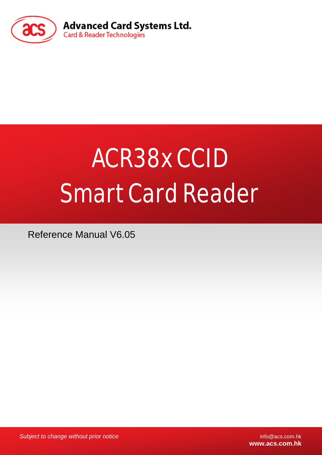

# ACR38x CCID Smart Card Reader

Reference Manual V6.05

*Subject to change without prior notice* info@acs.com.hk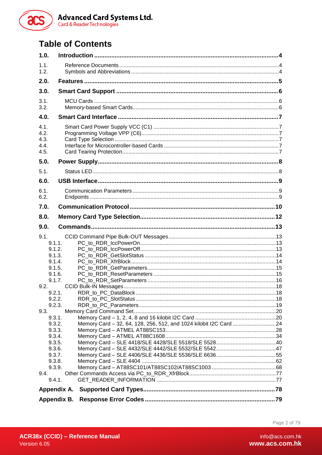

# **Table of Contents**

| 1.0.                                 |                                                                   |  |
|--------------------------------------|-------------------------------------------------------------------|--|
| 1.1.<br>1.2.                         |                                                                   |  |
| 2.0.                                 |                                                                   |  |
| 3.0.                                 |                                                                   |  |
| 3.1.<br>3.2.                         |                                                                   |  |
| 4.0.                                 |                                                                   |  |
| 4.1.<br>4.2.<br>4.3.<br>4.4.<br>4.5. |                                                                   |  |
| 5.0.                                 |                                                                   |  |
| 5.1.                                 |                                                                   |  |
| 6.0.                                 |                                                                   |  |
| 6.1.<br>6.2.                         |                                                                   |  |
| 7.0.                                 |                                                                   |  |
| 8.0.                                 |                                                                   |  |
| 9.0.                                 |                                                                   |  |
| 9.1.                                 |                                                                   |  |
| 9.1.1.                               |                                                                   |  |
| 9.1.2.                               |                                                                   |  |
| 9.1.3.                               |                                                                   |  |
| 9.1.4.                               |                                                                   |  |
| 9.1.5.                               |                                                                   |  |
| 9.1.6.                               |                                                                   |  |
| 9.1.7.                               |                                                                   |  |
| 9.2.                                 |                                                                   |  |
| 9.2.1.<br>9.2.2.                     |                                                                   |  |
| 9.2.3.                               |                                                                   |  |
| 9.3.                                 |                                                                   |  |
| 9.3.1.                               |                                                                   |  |
| 9.3.2.                               | Memory Card - 32, 64, 128, 256, 512, and 1024 kilobit I2C Card 24 |  |
| 9.3.3.                               |                                                                   |  |
| 9.3.4.                               |                                                                   |  |
| 9.3.5.                               |                                                                   |  |
| 9.3.6.                               |                                                                   |  |
| 9.3.7.                               |                                                                   |  |
| 9.3.8.<br>9.3.9.                     |                                                                   |  |
| 9.4.                                 |                                                                   |  |
| 9.4.1.                               |                                                                   |  |
| Appendix A.                          |                                                                   |  |
|                                      |                                                                   |  |
| Appendix B.                          |                                                                   |  |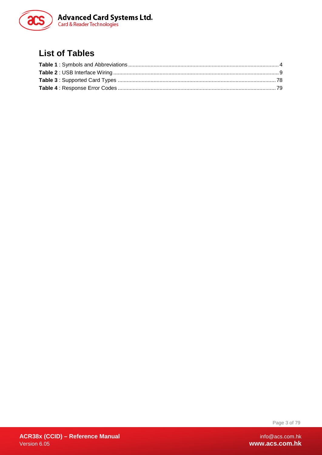

# **List of Tables**

Page 3 of 79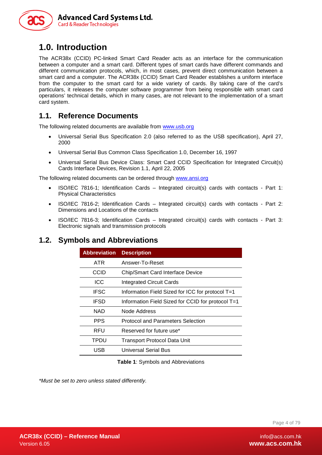

# <span id="page-3-0"></span>**1.0. Introduction**

The ACR38x (CCID) PC-linked Smart Card Reader acts as an interface for the communication between a computer and a smart card. Different types of smart cards have different commands and different communication protocols, which, in most cases, prevent direct communication between a smart card and a computer. The ACR38x (CCID) Smart Card Reader establishes a uniform interface from the computer to the smart card for a wide variety of cards. By taking care of the card's particulars, it releases the computer software programmer from being responsible with smart card operations' technical details, which in many cases, are not relevant to the implementation of a smart card system.

### <span id="page-3-1"></span>**1.1. Reference Documents**

The following related documents are available from [www.usb.org](http://www.usb.org/)

- Universal Serial Bus Specification 2.0 (also referred to as the USB specification), April 27, 2000
- Universal Serial Bus Common Class Specification 1.0, December 16, 1997
- Universal Serial Bus Device Class: Smart Card CCID Specification for Integrated Circuit(s) Cards Interface Devices, Revision 1.1, April 22, 2005

The following related documents can be ordered through [www.ansi.org](http://www.ansi.org/)

- ISO/IEC 7816-1; Identification Cards Integrated circuit(s) cards with contacts Part 1: Physical Characteristics
- ISO/IEC 7816-2; Identification Cards Integrated circuit(s) cards with contacts Part 2: Dimensions and Locations of the contacts
- ISO/IEC 7816-3; Identification Cards Integrated circuit(s) cards with contacts Part 3: Electronic signals and transmission protocols

### <span id="page-3-2"></span>**1.2. Symbols and Abbreviations**

| <b>Abbreviation</b> | <b>Description</b>                                |
|---------------------|---------------------------------------------------|
| ATR                 | Answer-To-Reset                                   |
| CCID                | <b>Chip/Smart Card Interface Device</b>           |
| ICC                 | <b>Integrated Circuit Cards</b>                   |
| <b>IFSC</b>         | Information Field Sized for ICC for protocol T=1  |
| <b>IFSD</b>         | Information Field Sized for CCID for protocol T=1 |
| NAD                 | Node Address                                      |
| <b>PPS</b>          | <b>Protocol and Parameters Selection</b>          |
| RFU                 | Reserved for future use*                          |
| TPDU                | Transport Protocol Data Unit                      |
| USB                 | Universal Serial Bus                              |

**Table 1**: Symbols and Abbreviations

<span id="page-3-3"></span>*\*Must be set to zero unless stated differently.*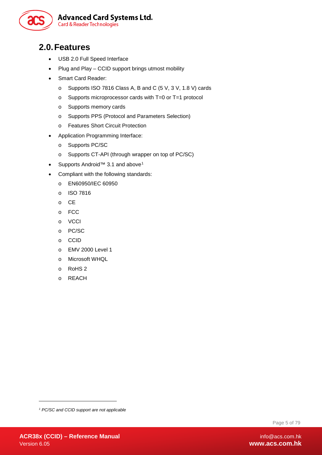

# <span id="page-4-0"></span>**2.0.Features**

- USB 2.0 Full Speed Interface
- Plug and Play CCID support brings utmost mobility
- Smart Card Reader:
	- o Supports ISO 7816 Class A, B and C (5 V, 3 V, 1.8 V) cards
	- o Supports microprocessor cards with T=0 or T=1 protocol
	- o Supports memory cards
	- o Supports PPS (Protocol and Parameters Selection)
	- o Features Short Circuit Protection
- Application Programming Interface:
	- o Supports PC/SC
	- o Supports CT-API (through wrapper on top of PC/SC)
- Supports Android<sup>™</sup> 3.[1](#page-4-1) and above<sup>1</sup>
- Compliant with the following standards:
	- o EN60950/IEC 60950
	- o ISO 7816
	- o CE
	- o FCC
	- o VCCI
	- o PC/SC
	- o CCID
	- o EMV 2000 Level 1
	- o Microsoft WHQL
	- o RoHS 2
	- o REACH

Page 5 of 79

-

<span id="page-4-1"></span>*<sup>1</sup> PC/SC and CCID support are not applicable*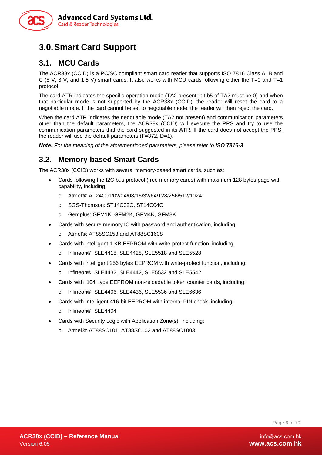

# <span id="page-5-0"></span>**3.0.Smart Card Support**

### <span id="page-5-1"></span>**3.1. MCU Cards**

The ACR38x (CCID) is a PC/SC compliant smart card reader that supports ISO 7816 Class A, B and C (5 V, 3 V, and 1.8 V) smart cards. It also works with MCU cards following either the T=0 and T=1 protocol.

The card ATR indicates the specific operation mode (TA2 present; bit b5 of TA2 must be 0) and when that particular mode is not supported by the ACR38x (CCID), the reader will reset the card to a negotiable mode. If the card cannot be set to negotiable mode, the reader will then reject the card.

When the card ATR indicates the negotiable mode (TA2 not present) and communication parameters other than the default parameters, the ACR38x (CCID) will execute the PPS and try to use the communication parameters that the card suggested in its ATR. If the card does not accept the PPS, the reader will use the default parameters (F=372, D=1).

*Note: For the meaning of the aforementioned parameters, please refer to ISO 7816-3.*

### <span id="page-5-2"></span>**3.2. Memory-based Smart Cards**

The ACR38x (CCID) works with several memory-based smart cards, such as:

- Cards following the I2C bus protocol (free memory cards) with maximum 128 bytes page with capability, including:
	- o Atmel®: AT24C01/02/04/08/16/32/64/128/256/512/1024
	- o SGS-Thomson: ST14C02C, ST14C04C
	- o Gemplus: GFM1K, GFM2K, GFM4K, GFM8K
- Cards with secure memory IC with password and authentication, including:
	- o Atmel®: AT88SC153 and AT88SC1608
- Cards with intelligent 1 KB EEPROM with write-protect function, including:
	- o Infineon®: SLE4418, SLE4428, SLE5518 and SLE5528
- Cards with intelligent 256 bytes EEPROM with write-protect function, including:
	- o Infineon®: SLE4432, SLE4442, SLE5532 and SLE5542
- Cards with '104' type EEPROM non-reloadable token counter cards, including:
	- o Infineon®: SLE4406, SLE4436, SLE5536 and SLE6636
- Cards with Intelligent 416-bit EEPROM with internal PIN check, including:
	- o Infineon®: SLE4404
- Cards with Security Logic with Application Zone(s), including:
	- o Atmel®: AT88SC101, AT88SC102 and AT88SC1003

Page 6 of 79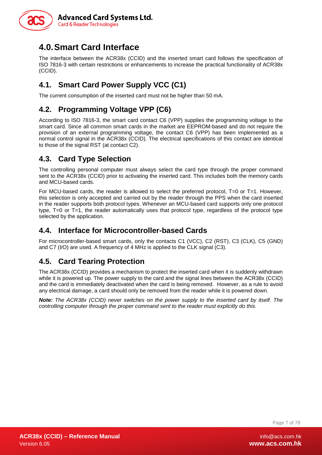

# <span id="page-6-0"></span>**4.0.Smart Card Interface**

The interface between the ACR38x (CCID) and the inserted smart card follows the specification of ISO 7816-3 with certain restrictions or enhancements to increase the practical functionality of ACR38x (CCID).

# <span id="page-6-1"></span>**4.1. Smart Card Power Supply VCC (C1)**

The current consumption of the inserted card must not be higher than 50 mA.

### <span id="page-6-2"></span>**4.2. Programming Voltage VPP (C6)**

According to ISO 7816-3, the smart card contact C6 (VPP) supplies the programming voltage to the smart card. Since all common smart cards in the market are EEPROM-based and do not require the provision of an external programming voltage, the contact C6 (VPP) has been implemented as a normal control signal in the ACR38x (CCID). The electrical specifications of this contact are identical to those of the signal RST (at contact C2).

### <span id="page-6-3"></span>**4.3. Card Type Selection**

The controlling personal computer must always select the card type through the proper command sent to the ACR38x (CCID) prior to activating the inserted card. This includes both the memory cards and MCU-based cards.

For MCU-based cards, the reader is allowed to select the preferred protocol, T=0 or T=1. However, this selection is only accepted and carried out by the reader through the PPS when the card inserted in the reader supports both protocol types. Whenever an MCU-based card supports only one protocol type, T=0 or T=1, the reader automatically uses that protocol type, regardless of the protocol type selected by the application.

### <span id="page-6-4"></span>**4.4. Interface for Microcontroller-based Cards**

For microcontroller-based smart cards, only the contacts C1 (VCC), C2 (RST), C3 (CLK), C5 (GND) and C7 (I/O) are used. A frequency of 4 MHz is applied to the CLK signal (C3).

### <span id="page-6-5"></span>**4.5. Card Tearing Protection**

The ACR38x (CCID) provides a mechanism to protect the inserted card when it is suddenly withdrawn while it is powered up. The power supply to the card and the signal lines between the ACR38x (CCID) and the card is immediately deactivated when the card is being removed. However, as a rule to avoid any electrical damage, a card should only be removed from the reader while it is powered down.

*Note: The ACR38x (CCID) never switches on the power supply to the inserted card by itself. The controlling computer through the proper command sent to the reader must explicitly do this.*

Page 7 of 79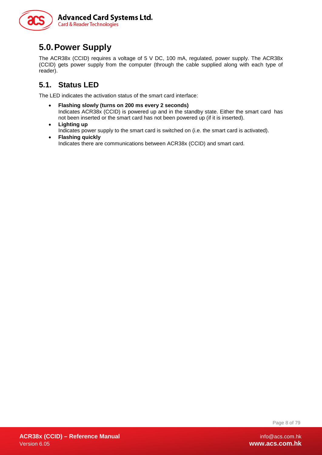

# <span id="page-7-0"></span>**5.0.Power Supply**

The ACR38x (CCID) requires a voltage of 5 V DC, 100 mA, regulated, power supply. The ACR38x (CCID) gets power supply from the computer (through the cable supplied along with each type of reader).

# <span id="page-7-1"></span>**5.1. Status LED**

The LED indicates the activation status of the smart card interface:

- **Flashing slowly (turns on 200 ms every 2 seconds)** Indicates ACR38x (CCID) is powered up and in the standby state. Either the smart card has not been inserted or the smart card has not been powered up (if it is inserted).
- **Lighting up** Indicates power supply to the smart card is switched on (i.e. the smart card is activated).
- **Flashing quickly** Indicates there are communications between ACR38x (CCID) and smart card.

Page 8 of 79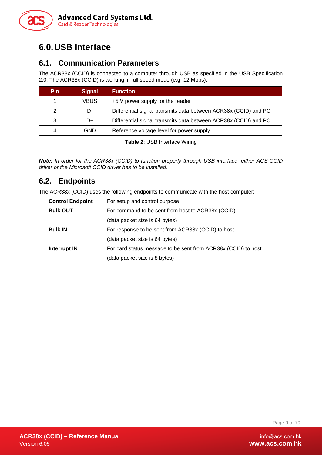

# <span id="page-8-0"></span>**6.0.USB Interface**

### <span id="page-8-1"></span>**6.1. Communication Parameters**

The ACR38x (CCID) is connected to a computer through USB as specified in the USB Specification 2.0. The ACR38x (CCID) is working in full speed mode (e.g. 12 Mbps).

| Pin | <b>Signal</b> | <b>Function</b>                                                 |  |
|-----|---------------|-----------------------------------------------------------------|--|
|     | VBUS          | +5 V power supply for the reader                                |  |
|     | D-            | Differential signal transmits data between ACR38x (CCID) and PC |  |
| 3   | D+            | Differential signal transmits data between ACR38x (CCID) and PC |  |
| 4   | GND           | Reference voltage level for power supply                        |  |

**Table 2**: USB Interface Wiring

<span id="page-8-3"></span>*Note: In order for the ACR38x (CCID) to function properly through USB interface, either ACS CCID driver or the Microsoft CCID driver has to be installed.*

### <span id="page-8-2"></span>**6.2. Endpoints**

The ACR38x (CCID) uses the following endpoints to communicate with the host computer:

| <b>Control Endpoint</b> | For setup and control purpose                                 |  |  |
|-------------------------|---------------------------------------------------------------|--|--|
| <b>Bulk OUT</b>         | For command to be sent from host to ACR38x (CCID)             |  |  |
|                         | (data packet size is 64 bytes)                                |  |  |
| <b>Bulk IN</b>          | For response to be sent from ACR38x (CCID) to host            |  |  |
|                         | (data packet size is 64 bytes)                                |  |  |
| <b>Interrupt IN</b>     | For card status message to be sent from ACR38x (CCID) to host |  |  |
|                         | (data packet size is 8 bytes)                                 |  |  |

Page 9 of 79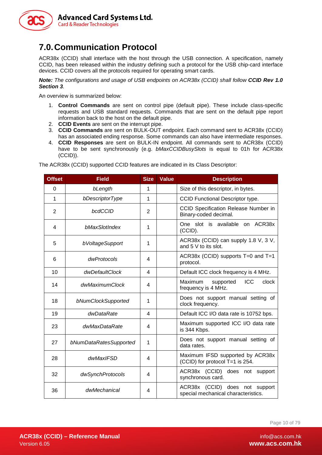

# <span id="page-9-0"></span>**7.0.Communication Protocol**

ACR38x (CCID) shall interface with the host through the USB connection. A specification, namely CCID, has been released within the industry defining such a protocol for the USB chip-card interface devices. CCID covers all the protocols required for operating smart cards.

*Note: The configurations and usage of USB endpoints on ACR38x (CCID) shall follow CCID Rev 1.0 Section 3.*

An overview is summarized below:

- 1. **Control Commands** are sent on control pipe (default pipe). These include class-specific requests and USB standard requests. Commands that are sent on the default pipe report information back to the host on the default pipe.
- 2. **CCID Events** are sent on the interrupt pipe.
- 3. **CCID Commands** are sent on BULK-OUT endpoint. Each command sent to ACR38x (CCID) has an associated ending response. Some commands can also have intermediate responses.
- 4. **CCID Responses** are sent on BULK-IN endpoint. All commands sent to ACR38x (CCID) have to be sent synchronously (e.g. *bMaxCCIDBusySlots* is equal to 01h for ACR38x (CCID)).

**Offset Field Size Value Description** 0 **bLength** 1 | Size of this descriptor, in bytes. 1 **bDescriptorType** 1 **1 CCID Functional Descriptor type.** 2 **bcdCCID** 2 **CCID** Specification Release Number in Binary-coded decimal. <sup>4</sup> *bMaxSlotIndex* <sup>1</sup> One slot is available on ACR38x (CCID). 5 **bVoltageSupport** 1 **1** ACR38x (CCID) can supply 1.8 V, 3 V, and 5 V to its slot. <sup>6</sup> *dwProtocols* <sup>4</sup> ACR38x (CCID) supports T=0 and T=1 protocol. 10 **dwDefaultClock** 4 **Default ICC clock frequency is 4 MHz.** <sup>14</sup> *dwMaximumClock* <sup>4</sup> Maximum supported ICC clock frequency is 4 MHz. <sup>18</sup> *bNumClockSupported* <sup>1</sup> Does not support manual setting of clock frequency. 19 *dwDataRate* 4 Default ICC I/O data rate is 10752 bps. <sup>23</sup> *dwMaxDataRate* <sup>4</sup> Maximum supported ICC I/O data rate is 344 Kbps. <sup>27</sup> *bNumDataRatesSupported* <sup>1</sup> Does not support manual setting of data rates. 28 **dwMaxIFSD** 4 Maximum IFSD supported by ACR38x (CCID) for protocol T=1 is 254. <sup>32</sup> *dwSynchProtocols* <sup>4</sup> ACR38x (CCID) does not support synchronous card. <sup>36</sup> *dwMechanical* <sup>4</sup> ACR38x (CCID) does not support special mechanical characteristics.

The ACR38x (CCID) supported CCID features are indicated in its Class Descriptor:

Page 10 of 79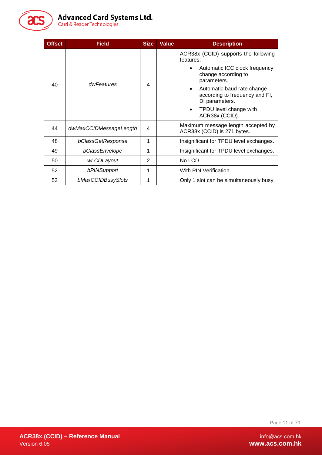

| <b>Offset</b> | <b>Field</b>           | <b>Size</b>    | <b>Value</b> | <b>Description</b>                                                                                                                                                                                                                                                  |
|---------------|------------------------|----------------|--------------|---------------------------------------------------------------------------------------------------------------------------------------------------------------------------------------------------------------------------------------------------------------------|
| 40            | dwFeatures             | 4              |              | ACR38x (CCID) supports the following<br>features:<br>Automatic ICC clock frequency<br>change according to<br>parameters.<br>Automatic baud rate change<br>$\bullet$<br>according to frequency and FI,<br>DI parameters.<br>TPDU level change with<br>ACR38x (CCID). |
| 44            | dwMaxCCIDMessageLength | 4              |              | Maximum message length accepted by<br>ACR38x (CCID) is 271 bytes.                                                                                                                                                                                                   |
| 48            | bClassGetResponse      | 1              |              | Insignificant for TPDU level exchanges.                                                                                                                                                                                                                             |
| 49            | bClassEnvelope         | 1              |              | Insignificant for TPDU level exchanges.                                                                                                                                                                                                                             |
| 50            | wLCDLayout             | $\overline{2}$ |              | No LCD.                                                                                                                                                                                                                                                             |
| 52            | bPINSupport            | 1              |              | With PIN Verification.                                                                                                                                                                                                                                              |
| 53            | bMaxCCIDBusySlots      |                |              | Only 1 slot can be simultaneously busy.                                                                                                                                                                                                                             |

Page 11 of 79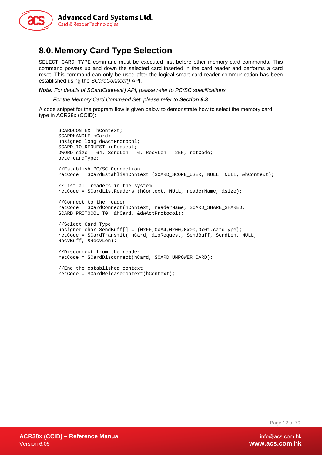

# <span id="page-11-0"></span>**8.0.Memory Card Type Selection**

SELECT\_CARD\_TYPE command must be executed first before other memory card commands. This command powers up and down the selected card inserted in the card reader and performs a card reset. This command can only be used after the logical smart card reader communication has been established using the *SCardConnect()* API.

*Note: For details of SCardConnect() API, please refer to PC/SC specifications.* 

 *For the Memory Card Command Set, please refer to Section [9.3](#page-19-0).*

A code snippet for the program flow is given below to demonstrate how to select the memory card type in ACR38x (CCID):

```
SCARDCONTEXT hContext;
SCARDHANDLE hCard;
unsigned long dwActProtocol;
SCARD_IO_REQUEST ioRequest;
DWORD size = 64, SendLen = 6, RecvLen = 255, retCode;
byte cardType;
//Establish PC/SC Connection
retCode = SCardEstablishContext (SCARD_SCOPE_USER, NULL, NULL, &hContext);
//List all readers in the system
retCode = SCardListReaders (hContext, NULL, readerName, &size);
//Connect to the reader
retCode = SCardConnect(hContext, readerName, SCARD_SHARE_SHARED, 
SCARD_PROTOCOL_T0, &hCard, &dwActProtocol);
//Select Card Type
unsigned char SendBuff[] = \{0xFF,0xA4,0x00,0x00,0x01,cardType\};
retCode = SCardTransmit( hCard, &ioRequest, SendBuff, SendLen, NULL, 
RecvBuff, &RecvLen);
//Disconnect from the reader
retCode = SCardDisconnect(hCard, SCARD_UNPOWER_CARD);
//End the established context
retCode = SCardReleaseContext(hContext);
```
Page 12 of 79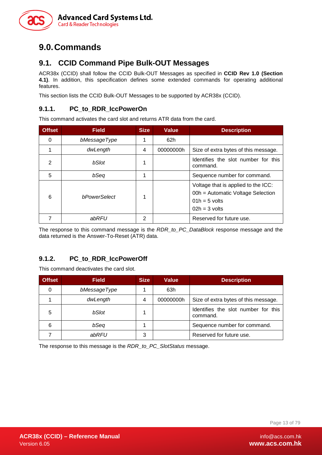

# <span id="page-12-0"></span>**9.0.Commands**

### <span id="page-12-1"></span>**9.1. CCID Command Pipe Bulk-OUT Messages**

ACR38x (CCID) shall follow the CCID Bulk-OUT Messages as specified in **CCID Rev 1.0 (Section 4.1)**. In addition, this specification defines some extended commands for operating additional features.

This section lists the CCID Bulk-OUT Messages to be supported by ACR38x (CCID).

### <span id="page-12-2"></span>**9.1.1. PC\_to\_RDR\_IccPowerOn**

This command activates the card slot and returns ATR data from the card.

| <b>Offset</b> | <b>Field</b>        | <b>Size</b> | <b>Value</b> | <b>Description</b>                                                                                             |
|---------------|---------------------|-------------|--------------|----------------------------------------------------------------------------------------------------------------|
| $\Omega$      | bMessageType        |             | 62h          |                                                                                                                |
|               | dwLength            | 4           | 00000000h    | Size of extra bytes of this message.                                                                           |
| $\mathcal{P}$ | bSlot               |             |              | Identifies the slot number for this<br>command.                                                                |
| 5             | bSeq                |             |              | Sequence number for command.                                                                                   |
| 6             | <b>bPowerSelect</b> | 1           |              | Voltage that is applied to the ICC:<br>00h = Automatic Voltage Selection<br>$01h = 5$ volts<br>$02h = 3$ volts |
|               | abRFU               | 2           |              | Reserved for future use.                                                                                       |

The response to this command message is the *RDR\_to\_PC\_DataBlock* response message and the data returned is the Answer-To-Reset (ATR) data.

### <span id="page-12-3"></span>**9.1.2. PC\_to\_RDR\_IccPowerOff**

This command deactivates the card slot.

| <b>Offset</b> | <b>Field</b> | <b>Size</b> | Value     | <b>Description</b>                              |
|---------------|--------------|-------------|-----------|-------------------------------------------------|
| 0             | bMessageType |             | 63h       |                                                 |
|               | dwLength     | 4           | 00000000h | Size of extra bytes of this message.            |
| 5             | bSlot        |             |           | Identifies the slot number for this<br>command. |
| 6             | bSeq         |             |           | Sequence number for command.                    |
|               | abRFU        | 3           |           | Reserved for future use.                        |

The response to this message is the *RDR\_to\_PC\_SlotStatus* message.

Page 13 of 79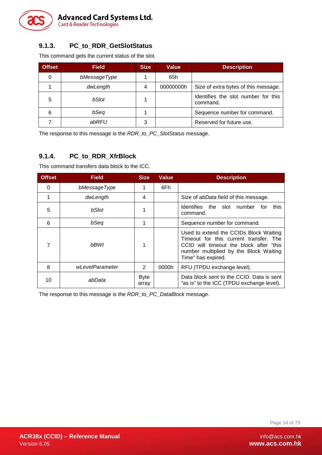

### <span id="page-13-0"></span>**9.1.3. PC\_to\_RDR\_GetSlotStatus**

This command gets the current status of the slot.

| <b>Offset</b> | <b>Field</b> | <b>Size</b> | <b>Value</b> | <b>Description</b>                              |
|---------------|--------------|-------------|--------------|-------------------------------------------------|
| 0             | bMessageType |             | 65h          |                                                 |
|               | dwLength     | 4           | 00000000h    | Size of extra bytes of this message.            |
| 5             | bSlot        |             |              | Identifies the slot number for this<br>command. |
| 6             | bSeq         |             |              | Sequence number for command.                    |
|               | abRFU        | 3           |              | Reserved for future use.                        |

The response to this message is the *RDR\_to\_PC\_SlotStatus* message.

### <span id="page-13-1"></span>**9.1.4. PC\_to\_RDR\_XfrBlock**

This command transfers data block to the ICC.

| <b>Offset</b> | Field           | <b>Size</b>          | <b>Value</b> | <b>Description</b>                                                                                                                                                                          |
|---------------|-----------------|----------------------|--------------|---------------------------------------------------------------------------------------------------------------------------------------------------------------------------------------------|
| 0             | bMessageType    |                      | 6Fh          |                                                                                                                                                                                             |
|               | dwLength        | 4                    |              | Size of <i>abData</i> field of this message.                                                                                                                                                |
| 5             | bSlot           |                      |              | <b>Identifies</b><br>the<br>slot<br>number<br>this<br>for<br>command.                                                                                                                       |
| 6             | bSeq            | 1                    |              | Sequence number for command.                                                                                                                                                                |
|               | bBWI            | 1                    |              | Used to extend the CCIDs Block Waiting<br>Timeout for this current transfer. The<br>CCID will timeout the block after "this<br>number multiplied by the Block Waiting<br>Time" has expired. |
| 8             | wLevelParameter | 2                    | 0000h        | RFU (TPDU exchange level).                                                                                                                                                                  |
| 10            | abData          | <b>Byte</b><br>array |              | Data block sent to the CCID. Data is sent<br>"as is" to the ICC (TPDU exchange level).                                                                                                      |

The response to this message is the *RDR\_to\_PC\_DataBlock* message.

Page 14 of 79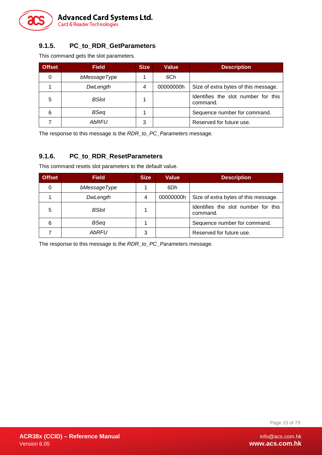

### <span id="page-14-0"></span>**9.1.5. PC\_to\_RDR\_GetParameters**

This command gets the slot parameters.

| <b>Offset</b> | <b>Field</b> | <b>Size</b> | Value     | <b>Description</b>                              |
|---------------|--------------|-------------|-----------|-------------------------------------------------|
| 0             | bMessageType |             | 6Ch       |                                                 |
|               | DwLength     | 4           | 00000000h | Size of extra bytes of this message.            |
| 5             | <b>BSlot</b> |             |           | Identifies the slot number for this<br>command. |
| 6             | <b>BSeq</b>  |             |           | Sequence number for command.                    |
|               | <b>AbRFU</b> | 3           |           | Reserved for future use.                        |

The response to this message is the *RDR\_to\_PC\_Parameters* message.

### <span id="page-14-1"></span>**9.1.6. PC\_to\_RDR\_ResetParameters**

This command resets slot parameters to the default value.

| <b>Offset</b> | <b>Field</b> | <b>Size</b> | <b>Value</b> | <b>Description</b>                              |
|---------------|--------------|-------------|--------------|-------------------------------------------------|
| 0             | bMessageType |             | 6Dh          |                                                 |
|               | DwLength     | 4           | 00000000h    | Size of extra bytes of this message.            |
| 5             | <b>BSlot</b> |             |              | Identifies the slot number for this<br>command. |
| 6             | <b>BSeq</b>  |             |              | Sequence number for command.                    |
|               | <b>AbRFU</b> | 3           |              | Reserved for future use.                        |

The response to this message is the *RDR\_to\_PC\_Parameters* message.

Page 15 of 79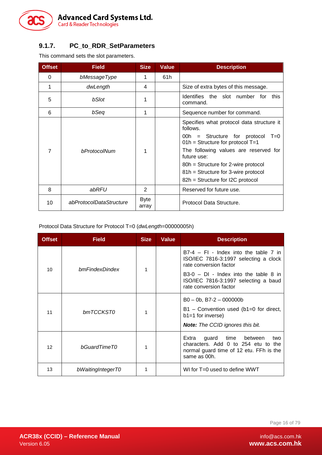

### <span id="page-15-0"></span>**9.1.7. PC\_to\_RDR\_SetParameters**

This command sets the slot parameters.

| <b>Offset</b> | <b>Field</b>            | <b>Size</b>          | <b>Value</b> | <b>Description</b>                                                                                                                                                                                                                                                                                                  |  |
|---------------|-------------------------|----------------------|--------------|---------------------------------------------------------------------------------------------------------------------------------------------------------------------------------------------------------------------------------------------------------------------------------------------------------------------|--|
| 0             | bMessageType            | 1                    | 61h          |                                                                                                                                                                                                                                                                                                                     |  |
| 1             | dwLength                | 4                    |              | Size of extra bytes of this message.                                                                                                                                                                                                                                                                                |  |
| 5             | bSlot                   | 1                    |              | Identifies<br>the slot number<br>this<br>for<br>command.                                                                                                                                                                                                                                                            |  |
| 6             | bSeq                    | 1                    |              | Sequence number for command.                                                                                                                                                                                                                                                                                        |  |
| 7             | bProtocolNum            | 1                    |              | Specifies what protocol data structure it<br>follows.<br>= Structure for protocol<br>00h -<br>$T=0$<br>$01h =$ Structure for protocol T=1<br>The following values are reserved for<br>future use:<br>80h = Structure for 2-wire protocol<br>81h = Structure for 3-wire protocol<br>82h = Structure for I2C protocol |  |
| 8             | abRFU                   | $\overline{2}$       |              | Reserved for future use.                                                                                                                                                                                                                                                                                            |  |
| 10            | abProtocolDataStructure | <b>Byte</b><br>array |              | Protocol Data Structure.                                                                                                                                                                                                                                                                                            |  |

Protocol Data Structure for Protocol T=0 (*dwLength*=00000005h)

| <b>Offset</b>   | <b>Field</b>      | <b>Size</b> | <b>Value</b> | <b>Description</b>                                                                                                                                    |
|-----------------|-------------------|-------------|--------------|-------------------------------------------------------------------------------------------------------------------------------------------------------|
| 10              | bmFindexDindex    | 1           |              | $B7-4$ – FI - Index into the table 7 in<br>ISO/IEC 7816-3:1997 selecting a clock<br>rate conversion factor<br>$B3-0$ – DI - Index into the table 8 in |
|                 |                   |             |              | ISO/IEC 7816-3:1997 selecting a baud<br>rate conversion factor                                                                                        |
|                 |                   |             |              | $B0 - 0b$ , B7-2 - 000000b                                                                                                                            |
| 11              | bmTCCKST0         | 1           |              | $B1 -$ Convention used (b1=0 for direct,<br>$b1=1$ for inverse)                                                                                       |
|                 |                   |             |              | <b>Note:</b> The CCID ignores this bit.                                                                                                               |
| 12 <sup>2</sup> | bGuardTimeT0      | 1           |              | Extra<br>guard<br>time<br>between<br>two<br>characters. Add 0 to 254 etu to the<br>normal guard time of 12 etu. FFh is the<br>same as 00h.            |
| 13              | bWaitingIntegerT0 |             |              | WI for T=0 used to define WWT                                                                                                                         |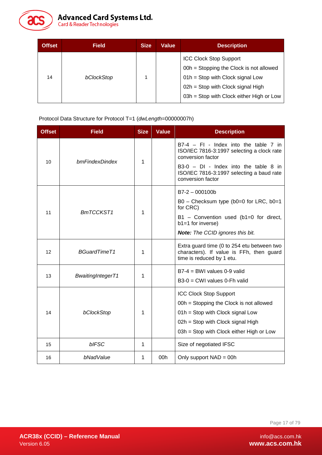

# Advanced Card Systems Ltd.<br>Card & Reader Technologies

| <b>Offset</b> | <b>Field</b> | <b>Size</b> | <b>Value</b> | <b>Description</b>                                                                                                                                                                                |
|---------------|--------------|-------------|--------------|---------------------------------------------------------------------------------------------------------------------------------------------------------------------------------------------------|
| 14            | bClockStop   |             |              | <b>ICC Clock Stop Support</b><br>00h = Stopping the Clock is not allowed<br>$01h =$ Stop with Clock signal Low<br>$02h =$ Stop with Clock signal High<br>03h = Stop with Clock either High or Low |

Protocol Data Structure for Protocol T=1 (*dwLength*=00000007h)

| <b>Offset</b> | <b>Field</b>             | <b>Size</b> | <b>Value</b> | <b>Description</b>                                                                                                                                                                            |
|---------------|--------------------------|-------------|--------------|-----------------------------------------------------------------------------------------------------------------------------------------------------------------------------------------------|
| 10            | bmFindexDindex           | 1           |              | $B7-4$ – FI - Index into the table 7 in<br>ISO/IEC 7816-3:1997 selecting a clock rate<br>conversion factor<br>$B3-0$ - DI - Index into the table 8 in                                         |
|               |                          |             |              | ISO/IEC 7816-3:1997 selecting a baud rate<br>conversion factor                                                                                                                                |
| 11            | BmTCCKST1                | 1           |              | $B7-2 - 000100b$<br>$B0 -$ Checksum type (b0=0 for LRC, b0=1<br>for CRC)<br>B1 - Convention used (b1=0 for direct,<br>$b1=1$ for inverse)<br><b>Note:</b> The CCID ignores this bit.          |
| 12            | BGuardTimeT1             | 1           |              | Extra guard time (0 to 254 etu between two<br>characters). If value is FFh, then guard<br>time is reduced by 1 etu.                                                                           |
| 13            | <b>BwaitingIntegerT1</b> | 1           |              | $B7-4 = BWI$ values 0-9 valid<br>B3-0 = CWI values 0-Fh valid                                                                                                                                 |
| 14            | bClockStop               | 1           |              | <b>ICC Clock Stop Support</b><br>00h = Stopping the Clock is not allowed<br>01h = Stop with Clock signal Low<br>02h = Stop with Clock signal High<br>03h = Stop with Clock either High or Low |
| 15            | bIFSC                    | 1           |              | Size of negotiated IFSC                                                                                                                                                                       |
| 16            | bNadValue                | 1           | 00h          | Only support $NAD = 00h$                                                                                                                                                                      |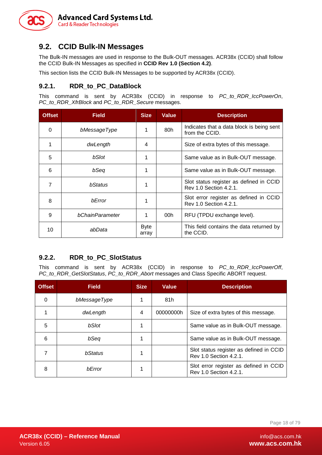

### <span id="page-17-0"></span>**9.2. CCID Bulk-IN Messages**

The Bulk-IN messages are used in response to the Bulk-OUT messages. ACR38x (CCID) shall follow the CCID Bulk-IN Messages as specified in **CCID Rev 1.0 (Section 4.2)**.

This section lists the CCID Bulk-IN Messages to be supported by ACR38x (CCID).

### <span id="page-17-1"></span>**9.2.1. RDR\_to\_PC\_DataBlock**

This command is sent by ACR38x (CCID) in response to *PC\_to\_RDR\_IccPowerOn*, *PC\_to\_RDR\_XfrBlock* and *PC\_to\_RDR\_Secure* messages.

| <b>Offset</b> | <b>Field</b>    | <b>Size</b>          | <b>Value</b> | <b>Description</b>                                                |
|---------------|-----------------|----------------------|--------------|-------------------------------------------------------------------|
| 0             | bMessageType    |                      | 80h          | Indicates that a data block is being sent<br>from the CCID.       |
|               | dwLength        | 4                    |              | Size of extra bytes of this message.                              |
| 5             | bSlot           |                      |              | Same value as in Bulk-OUT message.                                |
| 6             | bSeq            |                      |              | Same value as in Bulk-OUT message.                                |
| 7             | bStatus         |                      |              | Slot status register as defined in CCID<br>Rev 1.0 Section 4.2.1. |
| 8             | bError          |                      |              | Slot error register as defined in CCID<br>Rev 1.0 Section 4.2.1.  |
| 9             | bChainParameter |                      | 00h          | RFU (TPDU exchange level).                                        |
| 10            | abData          | <b>Byte</b><br>array |              | This field contains the data returned by<br>the CCID.             |

### <span id="page-17-2"></span>**9.2.2. RDR\_to\_PC\_SlotStatus**

This command is sent by ACR38x (CCID) in response to *PC\_to\_RDR\_IccPowerOff*, *PC\_to\_RDR\_GetSlotStatus*, *PC\_to\_RDR\_Abort* messages and Class Specific ABORT request.

| <b>Offset</b> | <b>Field</b>    | <b>Size</b> | <b>Value</b> | <b>Description</b>                                                |
|---------------|-----------------|-------------|--------------|-------------------------------------------------------------------|
| 0             | bMessageType    |             | 81h          |                                                                   |
|               | dwLength        | 4           | 00000000h    | Size of extra bytes of this message.                              |
| 5             | bSlot           |             |              | Same value as in Bulk-OUT message.                                |
| 6             | bSeq            |             |              | Same value as in Bulk-OUT message.                                |
|               | <b>h</b> Status |             |              | Slot status register as defined in CCID<br>Rev 1.0 Section 4.2.1. |
| 8             | <b>bError</b>   |             |              | Slot error register as defined in CCID<br>Rev 1.0 Section 4.2.1.  |

Page 18 of 79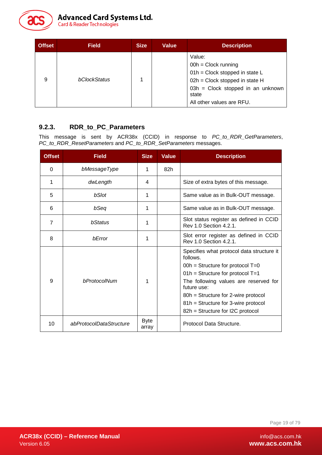

| <b>Offset</b> | <b>Field</b> | <b>Size</b> | <b>Value</b> | <b>Description</b>                                                                                                                                                               |
|---------------|--------------|-------------|--------------|----------------------------------------------------------------------------------------------------------------------------------------------------------------------------------|
| 9             | bClockStatus |             |              | Value:<br>$00h = Clock$ running<br>01h = Clock stopped in state L<br>02h = Clock stopped in state H<br>$03h =$ Clock stopped in an unknown<br>state<br>All other values are RFU. |

### <span id="page-18-0"></span>**9.2.3. RDR\_to\_PC\_Parameters**

This message is sent by ACR38x (CCID) in response to *PC\_to\_RDR\_GetParameters*, *PC\_to\_RDR\_ResetParameters* and *PC\_to\_RDR\_SetParameters* messages.

| <b>Offset</b>  | <b>Field</b>            | <b>Size</b>          | <b>Value</b> | <b>Description</b>                                                                                                                                                                                                                                                                                          |
|----------------|-------------------------|----------------------|--------------|-------------------------------------------------------------------------------------------------------------------------------------------------------------------------------------------------------------------------------------------------------------------------------------------------------------|
| 0              | bMessageType            | 1                    | 82h          |                                                                                                                                                                                                                                                                                                             |
| 1              | dwLength                | 4                    |              | Size of extra bytes of this message.                                                                                                                                                                                                                                                                        |
| 5              | bSlot                   | 1                    |              | Same value as in Bulk-OUT message.                                                                                                                                                                                                                                                                          |
| 6              | bSeq                    | 1                    |              | Same value as in Bulk-OUT message.                                                                                                                                                                                                                                                                          |
| $\overline{7}$ | bStatus                 | 1                    |              | Slot status register as defined in CCID<br>Rev 1.0 Section 4.2.1.                                                                                                                                                                                                                                           |
| 8              | bError                  | 1                    |              | Slot error register as defined in CCID<br>Rev 1.0 Section 4.2.1.                                                                                                                                                                                                                                            |
| 9              | bProtocolNum            | 1                    |              | Specifies what protocol data structure it<br>follows.<br>$00h =$ Structure for protocol T=0<br>$01h =$ Structure for protocol T=1<br>The following values are reserved for<br>future use:<br>80h = Structure for 2-wire protocol<br>81h = Structure for 3-wire protocol<br>82h = Structure for I2C protocol |
| 10             | abProtocolDataStructure | <b>Byte</b><br>array |              | Protocol Data Structure.                                                                                                                                                                                                                                                                                    |

Page 19 of 79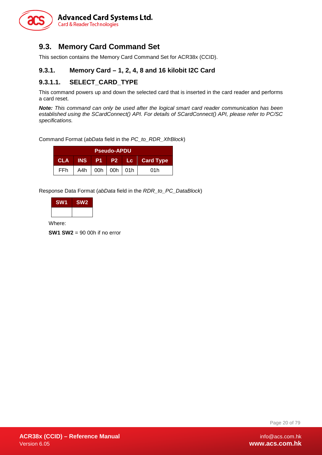

### <span id="page-19-0"></span>**9.3. Memory Card Command Set**

This section contains the Memory Card Command Set for ACR38x (CCID).

### <span id="page-19-1"></span>**9.3.1. Memory Card – 1, 2, 4, 8 and 16 kilobit I2C Card**

### **9.3.1.1. SELECT\_CARD\_TYPE**

This command powers up and down the selected card that is inserted in the card reader and performs a card reset.

*Note: This command can only be used after the logical smart card reader communication has been established using the SCardConnect() API. For details of SCardConnect() API, please refer to PC/SC specifications.*

Command Format (*abData* field in the *PC\_to\_RDR\_XfrBlock*)

| <b>Pseudo-APDU</b> |  |  |                       |  |                        |
|--------------------|--|--|-----------------------|--|------------------------|
| <b>CLA</b>         |  |  |                       |  | INS P1 P2 Lc Card Type |
| <b>FFh</b>         |  |  | A4h   00h   00h   01h |  | 01h                    |

Response Data Format (*abData* field in the *RDR\_to\_PC\_DataBlock*)

| <b>SW1</b> | <b>SW2</b> |
|------------|------------|
|            |            |

Where:

**SW1 SW2** = 90 00h if no error

Page 20 of 79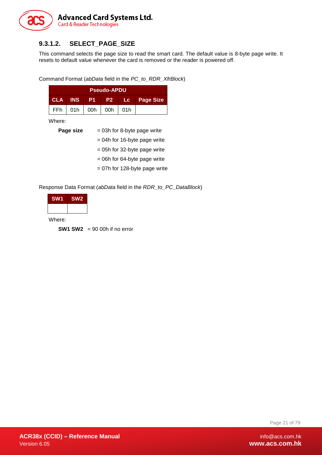

### **9.3.1.2. SELECT\_PAGE\_SIZE**

This command selects the page size to read the smart card. The default value is 8-byte page write. It resets to default value whenever the card is removed or the reader is powered off.

Command Format (*abData* field in the *PC\_to\_RDR\_XfrBlock*)

| <b>Pseudo-APDU</b> |  |                             |        |  |              |  |
|--------------------|--|-----------------------------|--------|--|--------------|--|
| <b>CLA INS</b>     |  | - P1 -                      | I P2 ∴ |  | Lc Page Size |  |
|                    |  | FFh   01h   00h   00h   01h |        |  |              |  |

Where:

| Page size | $= 03h$ for 8-byte page write  |
|-----------|--------------------------------|
|           | $= 04h$ for 16-byte page write |
|           | $= 05h$ for 32-byte page write |
|           | $= 06h$ for 64-byte page write |
|           |                                |

= 07h for 128-byte page write

Response Data Format (*abData* field in the *RDR\_to\_PC\_DataBlock*)

| <b>SW1</b> | <b>SW2</b> |
|------------|------------|
|            |            |

Where:

**SW1 SW2** = 90 00h if no error

Page 21 of 79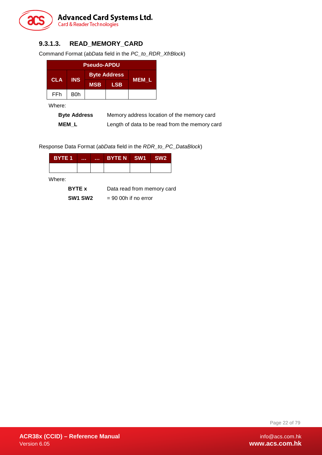

### **9.3.1.3. READ\_MEMORY\_CARD**

Command Format (*abData* field in the *PC\_to\_RDR\_XfrBlock*)

| <b>Pseudo-APDU</b> |                          |                     |            |       |
|--------------------|--------------------------|---------------------|------------|-------|
|                    | <b>INS</b><br><b>CLA</b> | <b>Byte Address</b> |            |       |
|                    |                          | <b>MSB</b>          | <b>LSB</b> | MEM L |
| FFh                | B0h                      |                     |            |       |

Where:

| <b>Byte Address</b> | Memory address location of the memory card     |
|---------------------|------------------------------------------------|
| <b>MEM L</b>        | Length of data to be read from the memory card |

Response Data Format (*abData* field in the *RDR\_to\_PC\_DataBlock*)

| BYTE <sub>1</sub> | <br><b>A 10 A</b> | BYTE N SW1 | SW <sub>2</sub> |
|-------------------|-------------------|------------|-----------------|
|                   |                   |            |                 |
| Where:            |                   |            |                 |

**SW1 SW2** = 90 00h if no error

Page 22 of 79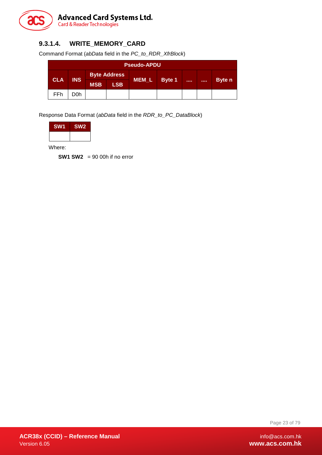

### **9.3.1.4. WRITE\_MEMORY\_CARD**

Command Format (*abData* field in the *PC\_to\_RDR\_XfrBlock*)

| <b>Pseudo-APDU</b> |            |                     |            |       |        |  |                   |
|--------------------|------------|---------------------|------------|-------|--------|--|-------------------|
|                    |            | <b>Byte Address</b> |            |       |        |  |                   |
| <b>CLA</b>         | <b>INS</b> | <b>MSB</b>          | <b>LSB</b> | MEM_L | Byte 1 |  | <br><b>Byte</b> n |
| FFh                | D0h        |                     |            |       |        |  |                   |

Response Data Format (*abData* field in the *RDR\_to\_PC\_DataBlock*)

| <b>SW1</b> | SW <sub>2</sub> |
|------------|-----------------|
|            |                 |

Where:

**SW1 SW2** = 90 00h if no error

Page 23 of 79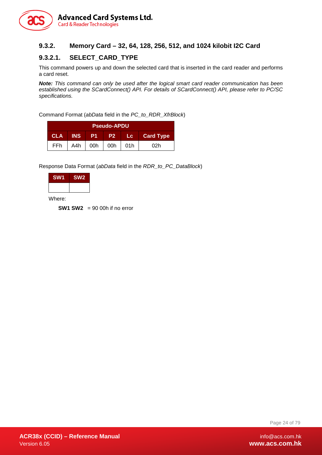

### <span id="page-23-0"></span>**9.3.2. Memory Card – 32, 64, 128, 256, 512, and 1024 kilobit I2C Card**

### **9.3.2.1. SELECT\_CARD\_TYPE**

This command powers up and down the selected card that is inserted in the card reader and performs a card reset.

*Note: This command can only be used after the logical smart card reader communication has been established using the SCardConnect() API. For details of SCardConnect() API, please refer to PC/SC specifications.*

Command Format (*abData* field in the *PC\_to\_RDR\_XfrBlock*)

|                                                                 | <b>Pseudo-APDU</b> |     |     |                  |     |
|-----------------------------------------------------------------|--------------------|-----|-----|------------------|-----|
| <b>INS</b><br>P <sub>1</sub><br><b>CLA</b><br><b>P27</b><br>/Lc |                    |     |     | <b>Card Type</b> |     |
| FFh                                                             | A4h                | 00h | 00h | 01h              | 02h |

Response Data Format (*abData* field in the *RDR\_to\_PC\_DataBlock*)

| <b>SW1</b> | SW <sub>2</sub> |
|------------|-----------------|
|            |                 |

Where:

**SW1 SW2** = 90 00h if no error

Page 24 of 79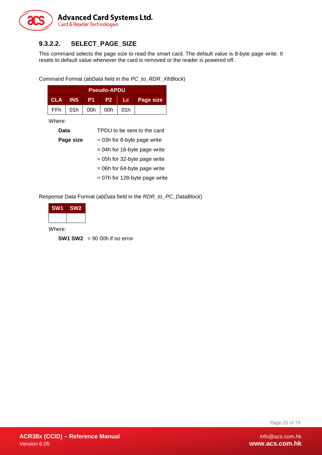

### **9.3.2.2. SELECT\_PAGE\_SIZE**

This command selects the page size to read the smart card. The default value is 8-byte page write. It resets to default value whenever the card is removed or the reader is powered off.

Command Format (*abData* field in the *PC\_to\_RDR\_XfrBlock*)

| <b>Pseudo-APDU</b> |            |      |     |       |                  |
|--------------------|------------|------|-----|-------|------------------|
| <b>CLA</b>         | <b>INS</b> | - P1 | P2  | ⊟Lc ∴ | <b>Page size</b> |
| FFh                | 01h        | 00h  | 00h | 01h   |                  |

Where:

| Data      | TPDU to be sent to the card     |
|-----------|---------------------------------|
| Page size | $= 03h$ for 8-byte page write   |
|           | $= 04h$ for 16-byte page write  |
|           | $= 05h$ for 32-byte page write  |
|           | $= 06h$ for 64-byte page write  |
|           | $= 07h$ for 128-byte page write |

Response Data Format (*abData* field in the *RDR\_to\_PC\_DataBlock*)

| SW <sub>1</sub> | SW <sub>2</sub> |
|-----------------|-----------------|
|                 |                 |

Where:

**SW1 SW2** = 90 00h if no error

Page 25 of 79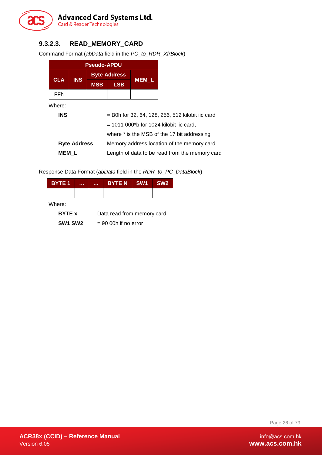

### **9.3.2.3. READ\_MEMORY\_CARD**

Command Format (*abData* field in the *PC\_to\_RDR\_XfrBlock*)

| <b>Pseudo-APDU</b> |            |            |                     |       |  |  |  |
|--------------------|------------|------------|---------------------|-------|--|--|--|
| <b>CLA</b>         | <b>INS</b> |            | <b>Byte Address</b> |       |  |  |  |
|                    |            | <b>MSB</b> | <b>LSB</b>          | MEM L |  |  |  |
| FFh                |            |            |                     |       |  |  |  |

Where:

| .                   |                                                        |
|---------------------|--------------------------------------------------------|
| <b>INS</b>          | = B0h for 32, 64, 128, 256, 512 kilobit iic card       |
|                     | $= 1011 000$ <sup>*</sup> b for 1024 kilobit iic card, |
|                     | where * is the MSB of the 17 bit addressing            |
| <b>Byte Address</b> | Memory address location of the memory card             |
| <b>MEM L</b>        | Length of data to be read from the memory card         |

Response Data Format (*abData* field in the *RDR\_to\_PC\_DataBlock*)

| <b>BYTE 1</b>  | . | . | <b>BYTEN</b>               | SW <sub>1</sub> | SW <sub>2</sub> |  |  |
|----------------|---|---|----------------------------|-----------------|-----------------|--|--|
|                |   |   |                            |                 |                 |  |  |
| Where:         |   |   |                            |                 |                 |  |  |
| <b>BYTE x</b>  |   |   | Data read from memory card |                 |                 |  |  |
| <b>SW1 SW2</b> |   |   | $= 90$ 00h if no error     |                 |                 |  |  |

Page 26 of 79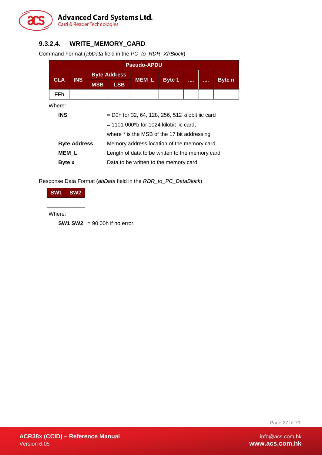

### **9.3.2.4. WRITE\_MEMORY\_CARD**

Command Format (*abData* field in the *PC\_to\_RDR\_XfrBlock*)

| <b>Pseudo-APDU</b>                                              |                                             |            |                                                        |                                                    |               |  |  |               |  |
|-----------------------------------------------------------------|---------------------------------------------|------------|--------------------------------------------------------|----------------------------------------------------|---------------|--|--|---------------|--|
| <b>CLA</b>                                                      | <b>INS</b>                                  |            | <b>Byte Address</b>                                    | <b>MEM L</b>                                       |               |  |  |               |  |
|                                                                 |                                             | <b>MSB</b> | <b>LSB</b>                                             |                                                    | <b>Byte 1</b> |  |  | <b>Byte</b> n |  |
| FFh                                                             |                                             |            |                                                        |                                                    |               |  |  |               |  |
| Where:                                                          |                                             |            |                                                        |                                                    |               |  |  |               |  |
| <b>INS</b>                                                      |                                             |            |                                                        | $=$ D0h for 32, 64, 128, 256, 512 kilobit iic card |               |  |  |               |  |
|                                                                 |                                             |            | $= 1101 000$ <sup>*</sup> b for 1024 kilobit iic card, |                                                    |               |  |  |               |  |
|                                                                 | where * is the MSB of the 17 bit addressing |            |                                                        |                                                    |               |  |  |               |  |
|                                                                 | <b>Byte Address</b>                         |            |                                                        | Memory address location of the memory card         |               |  |  |               |  |
| <b>MEM L</b><br>Length of data to be written to the memory card |                                             |            |                                                        |                                                    |               |  |  |               |  |
| Data to be written to the memory card<br><b>Byte</b> x          |                                             |            |                                                        |                                                    |               |  |  |               |  |

Response Data Format (*abData* field in the *RDR\_to\_PC\_DataBlock*)

| <b>SW1</b> | SW <sub>2</sub> |
|------------|-----------------|
|            |                 |

Where:

**SW1 SW2** = 90 00h if no error

Page 27 of 79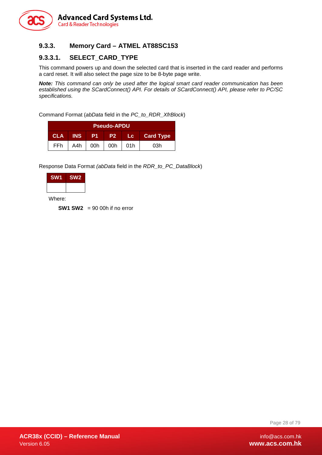

### <span id="page-27-0"></span>**9.3.3. Memory Card – ATMEL AT88SC153**

### **9.3.3.1. SELECT\_CARD\_TYPE**

This command powers up and down the selected card that is inserted in the card reader and performs a card reset. It will also select the page size to be 8-byte page write.

*Note: This command can only be used after the logical smart card reader communication has been established using the SCardConnect() API. For details of SCardConnect() API, please refer to PC/SC specifications.*

Command Format (*abData* field in the *PC\_to\_RDR\_XfrBlock*)

| <b>Pseudo-APDU</b> |            |     |           |        |                  |  |  |
|--------------------|------------|-----|-----------|--------|------------------|--|--|
| <b>CLA</b>         | <b>INS</b> | -P1 | <b>P2</b> | ' Lc ⊥ | <b>Card Type</b> |  |  |
| FFh.               | A4h        | 00h | 00h       | .01h   | 03h              |  |  |

Response Data Format *(abData* field in the *RDR\_to\_PC\_DataBlock*)

| <b>SW1</b> | SW <sub>2</sub> |  |  |  |
|------------|-----------------|--|--|--|
|            |                 |  |  |  |

Where:

**SW1 SW2** = 90 00h if no error

Page 28 of 79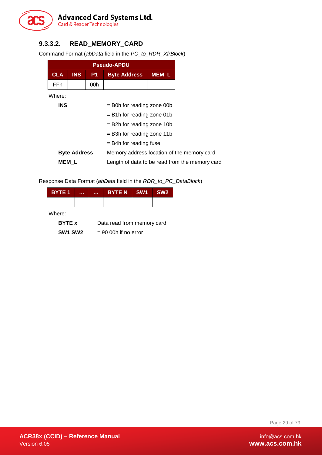

### **9.3.3.2. READ\_MEMORY\_CARD**

Command Format (*abData* field in the *PC\_to\_RDR\_XfrBlock*)

|                                                         |            |     | <b>Pseudo-APDU</b>                         |              |  |  |
|---------------------------------------------------------|------------|-----|--------------------------------------------|--------------|--|--|
| <b>CLA</b>                                              | <b>INS</b> | P1  | <b>Byte Address</b>                        | <b>MEM L</b> |  |  |
| FFh.                                                    |            | 00h |                                            |              |  |  |
| Where:                                                  |            |     |                                            |              |  |  |
| <b>INS</b><br>= B0h for reading zone 00b                |            |     |                                            |              |  |  |
|                                                         |            |     | $=$ B1h for reading zone 01b               |              |  |  |
|                                                         |            |     | $=$ B2h for reading zone 10b               |              |  |  |
|                                                         |            |     | $=$ B3h for reading zone 11b               |              |  |  |
|                                                         |            |     | $=$ B4h for reading fuse                   |              |  |  |
| <b>Byte Address</b>                                     |            |     | Memory address location of the memory card |              |  |  |
| MEM L<br>Length of data to be read from the memory card |            |     |                                            |              |  |  |

Response Data Format (*abData* field in the *RDR\_to\_PC\_DataBlock*)

| <b>BYTE 1</b> | . | . | <b>BYTE N</b>              | SW <sub>1</sub> | SW <sub>2</sub> |  |  |
|---------------|---|---|----------------------------|-----------------|-----------------|--|--|
|               |   |   |                            |                 |                 |  |  |
| Where:        |   |   |                            |                 |                 |  |  |
| <b>BYTE x</b> |   |   | Data read from memory card |                 |                 |  |  |

**SW1 SW2** = 90 00h if no error

Page 29 of 79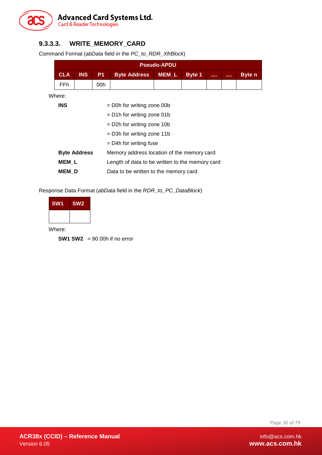

### **9.3.3.3. WRITE\_MEMORY\_CARD**

Command Format (*abData* field in the *PC\_to\_RDR\_XfrBlock*)

| <b>Pseudo-APDU</b>                         |                     |     |                                                 |              |               |  |                |               |  |  |
|--------------------------------------------|---------------------|-----|-------------------------------------------------|--------------|---------------|--|----------------|---------------|--|--|
| <b>CLA</b>                                 | <b>INS</b>          | P1  | <b>Byte Address</b>                             | <b>MEM L</b> | <b>Byte 1</b> |  | <b>A 8 8 8</b> | <b>Byte</b> n |  |  |
| FFh.                                       |                     | 00h |                                                 |              |               |  |                |               |  |  |
| Where:                                     |                     |     |                                                 |              |               |  |                |               |  |  |
| <b>INS</b><br>$=$ D0h for writing zone 00b |                     |     |                                                 |              |               |  |                |               |  |  |
| $=$ D1h for writing zone 01b               |                     |     |                                                 |              |               |  |                |               |  |  |
| $=$ D2h for writing zone 10b               |                     |     |                                                 |              |               |  |                |               |  |  |
|                                            |                     |     | $=$ D3h for writing zone 11b                    |              |               |  |                |               |  |  |
| $=$ D4h for writing fuse                   |                     |     |                                                 |              |               |  |                |               |  |  |
|                                            | <b>Byte Address</b> |     | Memory address location of the memory card      |              |               |  |                |               |  |  |
| <b>MEM L</b>                               |                     |     | Length of data to be written to the memory card |              |               |  |                |               |  |  |
| <b>MEM</b> D                               |                     |     | Data to be written to the memory card           |              |               |  |                |               |  |  |

Response Data Format (*abData* field in the *RDR\_to\_PC\_DataBlock*)

| SW <sub>1</sub> | SW <sub>2</sub> |
|-----------------|-----------------|
|                 |                 |

Where:

**SW1 SW2** = 90 00h if no error

Page 30 of 79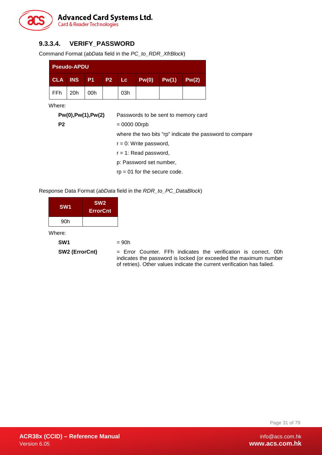

### **9.3.3.4. VERIFY\_PASSWORD**

Command Format (*abData* field in the *PC\_to\_RDR\_XfrBlock*)

| <b>Pseudo-APDU</b> |                   |     |       |     |       |       |            |  |
|--------------------|-------------------|-----|-------|-----|-------|-------|------------|--|
|                    | <b>CLA INS P1</b> |     | P2 Lc |     | Pw(0) | Pw(1) | $P_{W}(2)$ |  |
| FFh                | 20 <sub>h</sub>   | 00h |       | 03h |       |       |            |  |

Where:

| Pw(0), Pw(1), Pw(2) | Passwords to be sent to memory card                      |
|---------------------|----------------------------------------------------------|
| P <sub>2</sub>      | $= 0000 00$ rpb                                          |
|                     | where the two bits "rp" indicate the password to compare |
|                     | $r = 0$ : Write password,                                |
|                     | $r = 1$ : Read password,                                 |
|                     | p: Password set number,                                  |
|                     | $rp = 01$ for the secure code.                           |
|                     |                                                          |

#### Response Data Format (*abData* field in the *RDR\_to\_PC\_DataBlock*)

| SW <sub>1</sub> | SW <sub>2</sub><br><b>ErrorCnt</b> |
|-----------------|------------------------------------|
| 90h             |                                    |

Where:

| SW <sub>1</sub> | $= 90h$ |
|-----------------|---------|
|                 |         |

**SW2 (ErrorCnt)** = Error Counter. FFh indicates the verification is correct. 00h indicates the password is locked (or exceeded the maximum number of retries). Other values indicate the current verification has failed.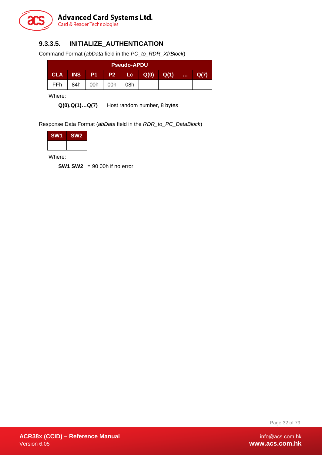

### **9.3.3.5. INITIALIZE\_AUTHENTICATION**

Command Format (*abData* field in the *PC\_to\_RDR\_XfrBlock*)

| <b>Pseudo-APDU</b>                                                                    |     |     |     |     |  |  |  |      |
|---------------------------------------------------------------------------------------|-----|-----|-----|-----|--|--|--|------|
| Q(0)<br><b>P1 P2</b><br>Q(1)<br><b>INS</b><br><b>Lc</b><br><b>CLA</b><br><b>A 6 6</b> |     |     |     |     |  |  |  | Q(7) |
| FFh                                                                                   | 84h | 00h | 00h | 08h |  |  |  |      |

Where:

**Q(0),Q(1)…Q(7)** Host random number, 8 bytes

Response Data Format (*abData* field in the *RDR\_to\_PC\_DataBlock*)

| <b>SW1</b> | <b>SW2</b> |
|------------|------------|
|            |            |

Where:

**SW1 SW2** = 90 00h if no error

Page 32 of 79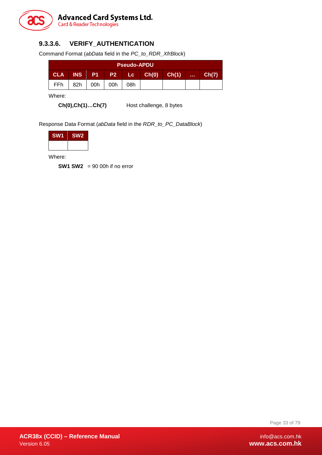

### **9.3.3.6. VERIFY\_AUTHENTICATION**

Command Format (*abData* field in the *PC\_to\_RDR\_XfrBlock*)

| <b>Pseudo-APDU</b>                                                                       |     |     |     |     |  |  |  |       |
|------------------------------------------------------------------------------------------|-----|-----|-----|-----|--|--|--|-------|
| P <sub>2</sub> Lc Ch(0)<br><b>INS</b><br>Ch(1)<br><b>CLA</b><br><b>P1</b><br><b>Sec.</b> |     |     |     |     |  |  |  | Ch(7) |
| FFh                                                                                      | 82h | 00h | 00h | 08h |  |  |  |       |

Where:

**Ch(0),Ch(1)…Ch(7)** Host challenge, 8 bytes

Response Data Format (*abData* field in the *RDR\_to\_PC\_DataBlock*)

| <b>SW1</b> | <b>SW2</b> |
|------------|------------|
|            |            |

Where:

**SW1 SW2** = 90 00h if no error

Page 33 of 79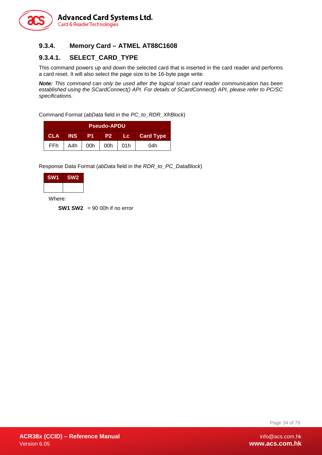

### <span id="page-33-0"></span>**9.3.4. Memory Card – ATMEL AT88C1608**

### **9.3.4.1. SELECT\_CARD\_TYPE**

This command powers up and down the selected card that is inserted in the card reader and performs a card reset. It will also select the page size to be 16-byte page write.

*Note: This command can only be used after the logical smart card reader communication has been established using the SCardConnect() API. For details of SCardConnect() API, please refer to PC/SC specifications.*

Command Format (*abData* field in the *PC\_to\_RDR\_XfrBlock*)

| <b>Pseudo-APDU</b>                                                                       |     |     |     |     |     |  |  |
|------------------------------------------------------------------------------------------|-----|-----|-----|-----|-----|--|--|
| <b>INS</b><br><b>CLA</b><br><b>Card Type</b><br>P <sub>1</sub><br>P <sub>2</sub><br>Lc . |     |     |     |     |     |  |  |
| <b>FFh</b>                                                                               | A4h | 00h | 00h | 01h | 04h |  |  |

Response Data Format (*abData* field in the *RDR\_to\_PC\_DataBlock*)

| <b>SW1</b> | <b>SW2</b> |
|------------|------------|
|            |            |

Where:

**SW1 SW2** = 90 00h if no error

Page 34 of 79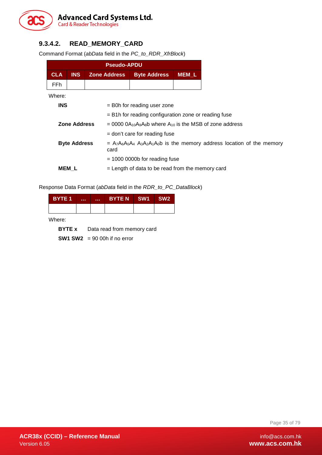

### **9.3.4.2. READ\_MEMORY\_CARD**

Command Format (*abData* field in the *PC\_to\_RDR\_XfrBlock*)

|            | <b>Pseudo-APDU</b>  |                     |                                                                                                                             |                  |  |  |  |  |
|------------|---------------------|---------------------|-----------------------------------------------------------------------------------------------------------------------------|------------------|--|--|--|--|
| <b>CLA</b> | <b>INS</b>          | <b>Zone Address</b> | <b>Byte Address</b>                                                                                                         | MEM <sub>L</sub> |  |  |  |  |
| FFh.       |                     |                     |                                                                                                                             |                  |  |  |  |  |
| Where:     |                     |                     |                                                                                                                             |                  |  |  |  |  |
| <b>INS</b> |                     |                     | $=$ B0h for reading user zone                                                                                               |                  |  |  |  |  |
|            |                     |                     | $=$ B1h for reading configuration zone or reading fuse                                                                      |                  |  |  |  |  |
|            | Zone Address        |                     | $= 0000$ 0A <sub>10</sub> A <sub>9</sub> A <sub>8</sub> b where A <sub>10</sub> is the MSB of zone address                  |                  |  |  |  |  |
|            |                     |                     | $=$ don't care for reading fuse                                                                                             |                  |  |  |  |  |
|            | <b>Byte Address</b> | card                | $= A_7A_6A_5A_4$ A <sub>3</sub> A <sub>2</sub> A <sub>1</sub> A <sub>0</sub> b is the memory address location of the memory |                  |  |  |  |  |
|            |                     |                     | $=$ 1000 0000b for reading fuse                                                                                             |                  |  |  |  |  |
|            | MEM L               |                     | $=$ Length of data to be read from the memory card                                                                          |                  |  |  |  |  |

Response Data Format (*abData* field in the *RDR\_to\_PC\_DataBlock*)

| <b>BYTE1</b> | <br><b>ALC N</b> | BYTEN SW1 | <b>SW2</b> |
|--------------|------------------|-----------|------------|
|              |                  |           |            |

Where:

**BYTE x** Data read from memory card

**SW1 SW2** = 90 00h if no error

Page 35 of 79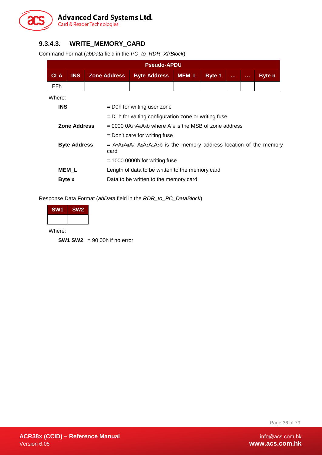

### **9.3.4.3. WRITE\_MEMORY\_CARD**

Command Format (*abData* field in the *PC\_to\_RDR\_XfrBlock*)

|                                 | <b>Pseudo-APDU</b>                                       |                     |                                                                                                                                                                            |                  |               |              |                |               |  |  |
|---------------------------------|----------------------------------------------------------|---------------------|----------------------------------------------------------------------------------------------------------------------------------------------------------------------------|------------------|---------------|--------------|----------------|---------------|--|--|
| <b>CLA</b>                      | <b>INS</b>                                               | <b>Zone Address</b> | <b>Byte Address</b>                                                                                                                                                        | MEM <sub>L</sub> | <b>Byte 1</b> | <b>A 6 6</b> | <b>A 6 6 6</b> | <b>Byte</b> n |  |  |
| FFh                             |                                                          |                     |                                                                                                                                                                            |                  |               |              |                |               |  |  |
| Where:                          |                                                          |                     |                                                                                                                                                                            |                  |               |              |                |               |  |  |
| <b>INS</b>                      |                                                          |                     | = D0h for writing user zone                                                                                                                                                |                  |               |              |                |               |  |  |
|                                 |                                                          |                     | $=$ D1h for writing configuration zone or writing fuse                                                                                                                     |                  |               |              |                |               |  |  |
|                                 | <b>Zone Address</b>                                      |                     | $= 0000$ $0A_{10}A_{9}A_{8}b$ where $A_{10}$ is the MSB of zone address                                                                                                    |                  |               |              |                |               |  |  |
|                                 |                                                          |                     | $=$ Don't care for writing fuse                                                                                                                                            |                  |               |              |                |               |  |  |
|                                 | <b>Byte Address</b>                                      | card                | $=$ A <sub>7</sub> A <sub>6</sub> A <sub>5</sub> A <sub>4</sub> A <sub>3</sub> A <sub>2</sub> A <sub>1</sub> A <sub>0</sub> b is the memory address location of the memory |                  |               |              |                |               |  |  |
| $=$ 1000 0000b for writing fuse |                                                          |                     |                                                                                                                                                                            |                  |               |              |                |               |  |  |
|                                 | MEM L<br>Length of data to be written to the memory card |                     |                                                                                                                                                                            |                  |               |              |                |               |  |  |
| Byte x                          |                                                          |                     | Data to be written to the memory card                                                                                                                                      |                  |               |              |                |               |  |  |

Response Data Format (*abData* field in the *RDR\_to\_PC\_DataBlock*)

| <b>SW1</b>   | SW <sub>2</sub> |
|--------------|-----------------|
|              |                 |
| 1 A J I<br>. |                 |

Where:

**SW1 SW2** = 90 00h if no error

Page 36 of 79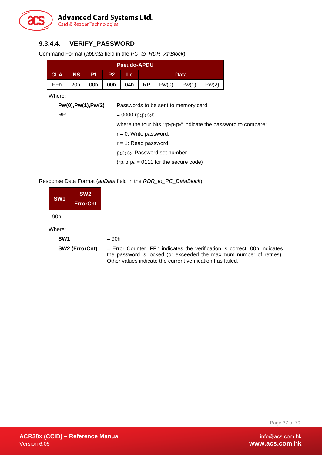

# **9.3.4.4. VERIFY\_PASSWORD**

Command Format (*abData* field in the *PC\_to\_RDR\_XfrBlock*)

|                                           |                     |                |                                                                     | <b>Pseudo-APDU</b>                                       |           |                                     |       |       |                                                                        |
|-------------------------------------------|---------------------|----------------|---------------------------------------------------------------------|----------------------------------------------------------|-----------|-------------------------------------|-------|-------|------------------------------------------------------------------------|
| <b>CLA</b>                                | <b>INS</b>          | P <sub>1</sub> | P <sub>2</sub>                                                      | Lc:                                                      |           |                                     | Data  |       |                                                                        |
| FFh.                                      | 20h                 | 00h            | 00h                                                                 | 04h                                                      | <b>RP</b> | Pw(0)                               | Pw(1) | Pw(2) |                                                                        |
| Where:                                    |                     |                |                                                                     |                                                          |           |                                     |       |       |                                                                        |
|                                           | Pw(0), Pw(1), Pw(2) |                |                                                                     |                                                          |           | Passwords to be sent to memory card |       |       |                                                                        |
| <b>RP</b>                                 |                     |                |                                                                     | $= 0000$ rp <sub>2</sub> p <sub>1</sub> p <sub>0</sub> b |           |                                     |       |       |                                                                        |
|                                           |                     |                |                                                                     |                                                          |           |                                     |       |       | where the four bits " $rp_2p_1p_0$ " indicate the password to compare: |
|                                           |                     |                |                                                                     | $r = 0$ : Write password,                                |           |                                     |       |       |                                                                        |
| $r = 1$ : Read password,                  |                     |                |                                                                     |                                                          |           |                                     |       |       |                                                                        |
|                                           |                     |                | p <sub>2</sub> p <sub>1</sub> p <sub>0</sub> : Password set number. |                                                          |           |                                     |       |       |                                                                        |
| $(rp_2p_1p_0 = 0111$ for the secure code) |                     |                |                                                                     |                                                          |           |                                     |       |       |                                                                        |

Response Data Format (*abData* field in the *RDR\_to\_PC\_DataBlock*)

| SW <sub>1</sub> | <b>SW<sub>2</sub></b><br><b>ErrorCnt</b> |
|-----------------|------------------------------------------|
| 90h             |                                          |

Where:

 $SW1 = 90h$ 

**SW2 (ErrorCnt)** = Error Counter. FFh indicates the verification is correct. 00h indicates the password is locked (or exceeded the maximum number of retries). Other values indicate the current verification has failed.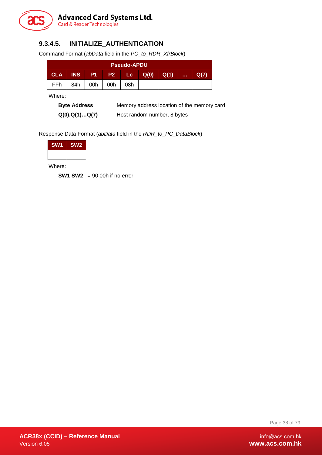

# **9.3.4.5. INITIALIZE\_AUTHENTICATION**

Command Format (*abData* field in the *PC\_to\_RDR\_XfrBlock*)

| <b>Pseudo-APDU</b> |            |           |           |      |      |      |              |  |
|--------------------|------------|-----------|-----------|------|------|------|--------------|--|
| <b>CLA</b>         | <b>INS</b> | <b>P1</b> | <b>P2</b> | Lc i | Q(0) | Q(1) | <b>A 6 6</b> |  |
| FFh                | 84h        | 00h       | 00h       | 08h  |      |      |              |  |

Where:

**Byte Address** Memory address location of the memory card **Q(0),Q(1)…Q(7)** Host random number, 8 bytes

Response Data Format (*abData* field in the *RDR\_to\_PC\_DataBlock*)

| <b>SW1</b> | SW <sub>2</sub> |
|------------|-----------------|
|            |                 |

Where:

**SW1 SW2** = 90 00h if no error

Page 38 of 79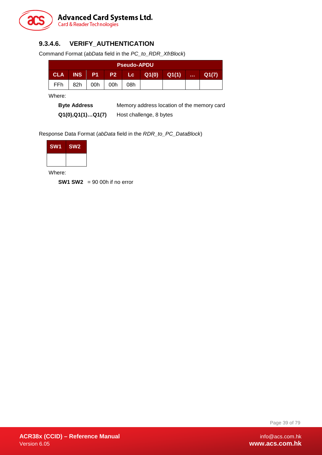

# **9.3.4.6. VERIFY\_AUTHENTICATION**

Command Format (*abData* field in the *PC\_to\_RDR\_XfrBlock*)

| <b>Pseudo-APDU</b> |            |             |     |       |       |       |            |       |
|--------------------|------------|-------------|-----|-------|-------|-------|------------|-------|
| <b>CLA</b>         | <b>INS</b> | <b>ZP17</b> |     | P2 Lc | Q1(0) | Q1(1) | . <i>.</i> | Q1(7) |
| FFh                | 82h        | 00h         | 00h | 08h   |       |       |            |       |

Where:

**Byte Address** Memory address location of the memory card **Q1(0),Q1(1)…Q1(7)** Host challenge, 8 bytes

Response Data Format (*abData* field in the *RDR\_to\_PC\_DataBlock*)

| <b>SW1</b> | SW <sub>2</sub> |
|------------|-----------------|
|            |                 |

Where:

**SW1 SW2** = 90 00h if no error

Page 39 of 79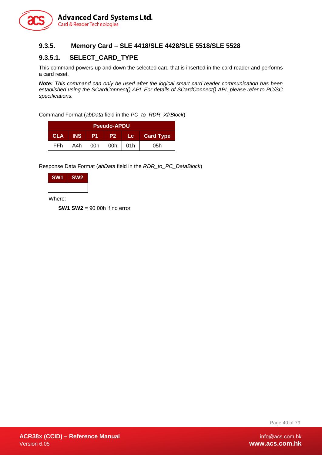

### **9.3.5. Memory Card – SLE 4418/SLE 4428/SLE 5518/SLE 5528**

### **9.3.5.1. SELECT\_CARD\_TYPE**

This command powers up and down the selected card that is inserted in the card reader and performs a card reset.

*Note: This command can only be used after the logical smart card reader communication has been established using the SCardConnect() API. For details of SCardConnect() API, please refer to PC/SC specifications.*

Command Format (*abData* field in the *PC\_to\_RDR\_XfrBlock*)

| <b>Pseudo-APDU</b>                      |     |     |     |       |                  |  |  |  |
|-----------------------------------------|-----|-----|-----|-------|------------------|--|--|--|
| INS.<br>-P1.<br><b>CLA</b><br><b>P2</b> |     |     |     | ⊟Lc ∴ | <b>Card Type</b> |  |  |  |
| <b>FFh</b>                              | A4h | 00h | 00h | 01h   | 05h              |  |  |  |

Response Data Format (*abData* field in the *RDR\_to\_PC\_DataBlock*)

| <b>SW1</b> | <b>SW2</b> |
|------------|------------|
|            |            |

Where:

**SW1 SW2** = 90 00h if no error

Page 40 of 79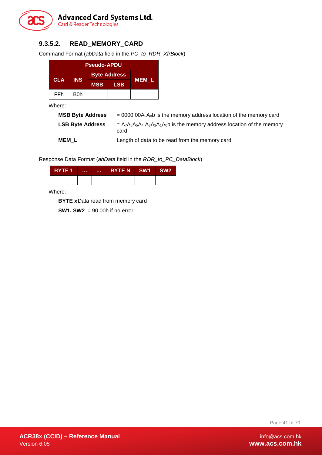

# **9.3.5.2. READ\_MEMORY\_CARD**

Command Format (*abData* field in the *PC\_to\_RDR\_XfrBlock*)

| <b>Pseudo-APDU</b> |            |                     |            |       |  |  |
|--------------------|------------|---------------------|------------|-------|--|--|
|                    | <b>INS</b> | <b>Byte Address</b> |            |       |  |  |
| <b>CLA</b>         |            | <b>MSB</b>          | <b>LSB</b> | MEM L |  |  |
| FFh                | B0h        |                     |            |       |  |  |

Where:

| <b>MSB Byte Address</b> | $= 0000 00A_9A_8b$ is the memory address location of the memory card                |
|-------------------------|-------------------------------------------------------------------------------------|
| <b>LSB Byte Address</b> | $= A_7A_6A_5A_4 A_3A_2A_1A_0b$ is the memory address location of the memory<br>card |
| MEM L                   | Length of data to be read from the memory card                                      |

Response Data Format (*abData* field in the *RDR\_to\_PC\_DataBlock*)

| <b>BYTE 1</b> | <br><b>ALC N</b> | BYTEN SW1 | SW <sub>2</sub> |
|---------------|------------------|-----------|-----------------|
|               |                  |           |                 |

Where:

**BYTE x**Data read from memory card

**SW1, SW2** = 90 00h if no error

Page 41 of 79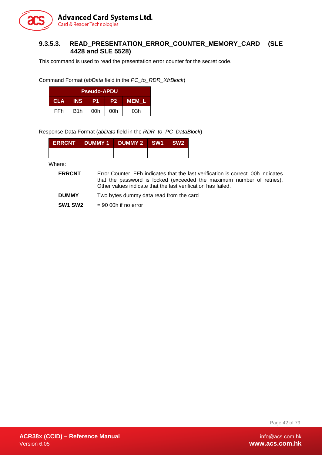

### **9.3.5.3. READ\_PRESENTATION\_ERROR\_COUNTER\_MEMORY\_CARD (SLE 4428 and SLE 5528)**

This command is used to read the presentation error counter for the secret code.

Command Format (*abData* field in the *PC\_to\_RDR\_XfrBlock*)

| <b>Pseudo-APDU</b> |                  |                 |     |     |  |  |  |
|--------------------|------------------|-----------------|-----|-----|--|--|--|
| <b>CLA</b>         | P <sub>2</sub>   | <b>MEM L</b>    |     |     |  |  |  |
| <b>FFh</b>         | B <sub>1</sub> h | 00 <sub>h</sub> | 00h | 03h |  |  |  |

Response Data Format (*abData* field in the *RDR\_to\_PC\_DataBlock*)

| ERRCNT DUMMY 1 DUMMY 2 SW1 SW2 |  |  |
|--------------------------------|--|--|
|                                |  |  |

Where:

- **ERRCNT** Error Counter. FFh indicates that the last verification is correct. 00h indicates that the password is locked (exceeded the maximum number of retries). Other values indicate that the last verification has failed.
- **DUMMY** Two bytes dummy data read from the card

**SW1 SW2**  $= 90,00h$  if no error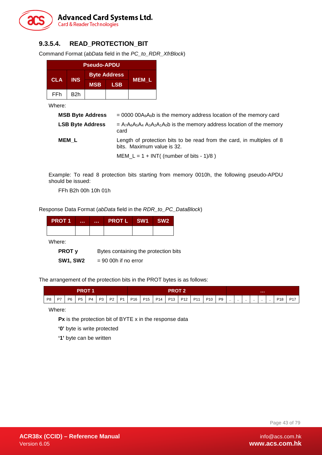

# **9.3.5.4. READ\_PROTECTION\_BIT**

Command Format (*abData* field in the *PC\_to\_RDR\_XfrBlock*)

| <b>Pseudo-APDU</b> |            |                     |            |       |
|--------------------|------------|---------------------|------------|-------|
| <b>CLA</b>         | <b>INS</b> | <b>Byte Address</b> |            |       |
|                    |            | <b>MSB</b>          | <b>LSB</b> | MEM L |
| FFh                | B2h        |                     |            |       |

Where:

| <b>MSB Byte Address</b> | $= 0000 00A9A8b$ is the memory address location of the memory card                                  |
|-------------------------|-----------------------------------------------------------------------------------------------------|
| <b>LSB Byte Address</b> | $= A_7A_6A_5A_4A_3A_2A_1A_0$ is the memory address location of the memory<br>card                   |
| <b>MEM L</b>            | Length of protection bits to be read from the card, in multiples of 8<br>bits. Maximum value is 32. |
|                         | MEM $L = 1 + INT($ (number of bits - 1)/8)                                                          |

Example: To read 8 protection bits starting from memory 0010h, the following pseudo-APDU should be issued:

FFh B2h 00h 10h 01h

Response Data Format (*abData* field in the *RDR\_to\_PC\_DataBlock*)

| <b>PROT1</b> | <br>la a su | <b>PROTL SW1</b> | SW <sub>2</sub> |
|--------------|-------------|------------------|-----------------|
|              |             |                  |                 |

Where:

**PROT y** Bytes containing the protection bits

**SW1, SW2** = 90 00h if no error

The arrangement of the protection bits in the PROT bytes is as follows:

|    | <b>PROT 1</b> |           |           | <b>PROT 2</b> |  |          |           | .               |                 |                 |                 |     |                 |                 |                |           |           |          |           |          |          |                 |                 |
|----|---------------|-----------|-----------|---------------|--|----------|-----------|-----------------|-----------------|-----------------|-----------------|-----|-----------------|-----------------|----------------|-----------|-----------|----------|-----------|----------|----------|-----------------|-----------------|
| P8 | P7            | <b>P6</b> | <b>P5</b> |               |  | P4 P3 P2 | <b>P1</b> | P <sub>16</sub> | P <sub>15</sub> | P <sub>14</sub> | P <sub>13</sub> | P12 | P <sub>11</sub> | P <sub>10</sub> | P <sub>9</sub> | $\ddotsc$ | $\cdot$ . | $\cdots$ | $\ddotsc$ | $\cdots$ | $\cdots$ | P <sub>18</sub> | P <sub>17</sub> |

Where:

**Px** is the protection bit of BYTE x in the response data

**'0'** byte is write protected

**'1'** byte can be written

Page 43 of 79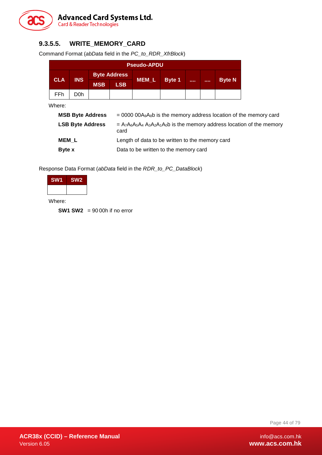

# **9.3.5.5. WRITE\_MEMORY\_CARD**

Command Format (*abData* field in the *PC\_to\_RDR\_XfrBlock*)

|            | <b>Pseudo-APDU</b> |                     |            |         |               |      |               |
|------------|--------------------|---------------------|------------|---------|---------------|------|---------------|
|            |                    | <b>Byte Address</b> |            |         |               |      |               |
| <b>CLA</b> | <b>INS</b>         | <b>MSB</b>          | <b>LSB</b> | $MEM_L$ | <b>Byte 1</b> | <br> | <b>Byte N</b> |
| FFh        | D0h                |                     |            |         |               |      |               |

Where:

| <b>MSB Byte Address</b> | $= 0000 00A_9A_8b$ is the memory address location of the memory card              |
|-------------------------|-----------------------------------------------------------------------------------|
| <b>LSB Byte Address</b> | $= A_7A_6A_5A_4A_3A_2A_1A_0$ is the memory address location of the memory<br>card |
| MEM L                   | Length of data to be written to the memory card                                   |
| Byte x                  | Data to be written to the memory card                                             |

Response Data Format (*abData* field in the *RDR\_to\_PC\_DataBlock*)

| SW <sub>1</sub> | SW <sub>2</sub> |
|-----------------|-----------------|
|                 |                 |
|                 |                 |

Where:

**SW1 SW2** = 90 00h if no error

Page 44 of 79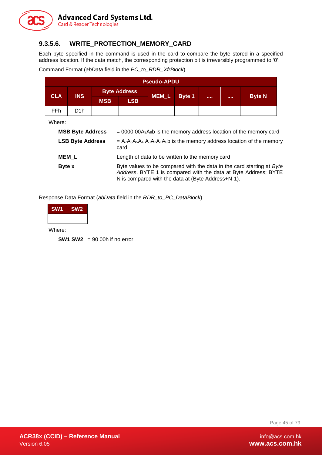

### **9.3.5.6. WRITE\_PROTECTION\_MEMORY\_CARD**

Each byte specified in the command is used in the card to compare the byte stored in a specified address location. If the data match, the corresponding protection bit is irreversibly programmed to '0'.

Command Format (*abData* field in the *PC\_to\_RDR\_XfrBlock*)

|                         | <b>Pseudo-APDU</b>      |            |                                                                                                                                                                                                |                  |               |  |  |               |  |
|-------------------------|-------------------------|------------|------------------------------------------------------------------------------------------------------------------------------------------------------------------------------------------------|------------------|---------------|--|--|---------------|--|
| <b>CLA</b>              | <b>INS</b>              |            | <b>Byte Address</b>                                                                                                                                                                            | MEM <sub>L</sub> |               |  |  |               |  |
|                         |                         | <b>MSB</b> | <b>LSB</b>                                                                                                                                                                                     |                  | <b>Byte 1</b> |  |  | <b>Byte N</b> |  |
| <b>FFh</b>              | D1h                     |            |                                                                                                                                                                                                |                  |               |  |  |               |  |
| Where:                  |                         |            |                                                                                                                                                                                                |                  |               |  |  |               |  |
|                         | <b>MSB Byte Address</b> |            | $= 0000000A_9A_8b$ is the memory address location of the memory card                                                                                                                           |                  |               |  |  |               |  |
| <b>LSB Byte Address</b> |                         |            | $= A_7A_6A_5A_4A_3A_2A_1A_0$ is the memory address location of the memory<br>card                                                                                                              |                  |               |  |  |               |  |
| <b>MEM L</b>            |                         |            | Length of data to be written to the memory card                                                                                                                                                |                  |               |  |  |               |  |
| Byte x                  |                         |            | Byte values to be compared with the data in the card starting at Byte<br>Address. BYTE 1 is compared with the data at Byte Address; BYTE<br>N is compared with the data at (Byte Address+N-1). |                  |               |  |  |               |  |

Response Data Format (*abData* field in the *RDR\_to\_PC\_DataBlock*)

| SW <sub>1</sub> |  |
|-----------------|--|
|                 |  |
|                 |  |

Where:

**SW1 SW2** = 90 00h if no error

Page 45 of 79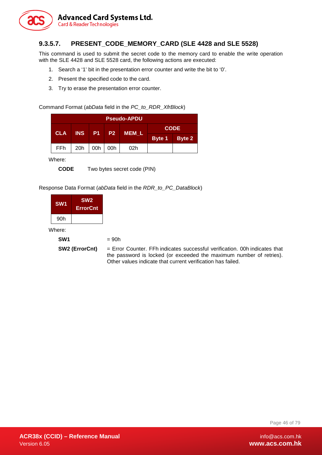

# **9.3.5.7. PRESENT\_CODE\_MEMORY\_CARD (SLE 4428 and SLE 5528)**

This command is used to submit the secret code to the memory card to enable the write operation with the SLE 4428 and SLE 5528 card, the following actions are executed:

- 1. Search a '1' bit in the presentation error counter and write the bit to '0'.
- 2. Present the specified code to the card.
- 3. Try to erase the presentation error counter.

Command Format (*abData* field in the *PC\_to\_RDR\_XfrBlock*)

| <b>Pseudo-APDU</b> |     |     |     |                 |               |             |  |
|--------------------|-----|-----|-----|-----------------|---------------|-------------|--|
| <b>CLA</b>         |     |     |     | INS P1 P2 MEM L |               | <b>CODE</b> |  |
|                    |     |     |     |                 | Byte 1 Byte 2 |             |  |
| FF <sub>h</sub>    | 20h | 00h | 00h | 02h             |               |             |  |

Where:

**CODE** Two bytes secret code (PIN)

Response Data Format (*abData* field in the *RDR\_to\_PC\_DataBlock*)

| SW <sub>1</sub> | SW <sub>2</sub><br><b>ErrorCnt</b> |
|-----------------|------------------------------------|
| 90h             |                                    |

Where:

**SW2 (ErrorCnt)** = Error Counter. FFh indicates successful verification. 00h indicates that the password is locked (or exceeded the maximum number of retries). Other values indicate that current verification has failed.

Page 46 of 79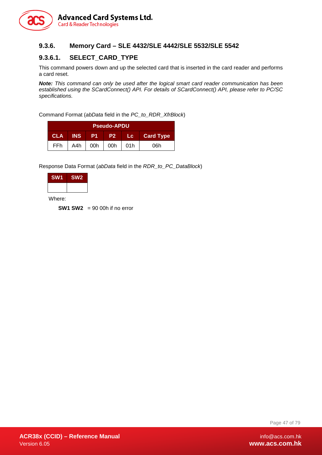

### **9.3.6. Memory Card – SLE 4432/SLE 4442/SLE 5532/SLE 5542**

### **9.3.6.1. SELECT\_CARD\_TYPE**

This command powers down and up the selected card that is inserted in the card reader and performs a card reset.

*Note: This command can only be used after the logical smart card reader communication has been established using the SCardConnect() API. For details of SCardConnect() API, please refer to PC/SC specifications.*

Command Format (*abData* field in the *PC\_to\_RDR\_XfrBlock*)

| <b>Pseudo-APDU</b>                                                                  |     |     |           |  |     |  |  |  |  |  |  |
|-------------------------------------------------------------------------------------|-----|-----|-----------|--|-----|--|--|--|--|--|--|
| <b>INS</b><br><b>P1</b><br><b>CLA</b><br><b>Card Type</b><br>- P2 I<br><b>ALC V</b> |     |     |           |  |     |  |  |  |  |  |  |
| FFh.                                                                                | A4h | 00h | 00h   01h |  | 06h |  |  |  |  |  |  |

Response Data Format (*abData* field in the *RDR\_to\_PC\_DataBlock*)

| <b>SW1</b> | SW <sub>2</sub> |
|------------|-----------------|
|            |                 |

Where:

**SW1 SW2** = 90 00h if no error

Page 47 of 79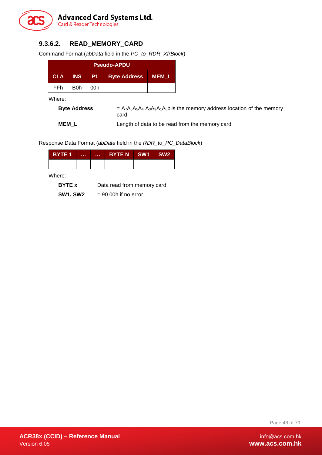

## **9.3.6.2. READ\_MEMORY\_CARD**

Command Format (*abData* field in the *PC\_to\_RDR\_XfrBlock*)

|            | <b>Pseudo-APDU</b> |             |                     |       |  |  |  |  |  |  |  |  |
|------------|--------------------|-------------|---------------------|-------|--|--|--|--|--|--|--|--|
| <b>CLA</b> | <b>INS</b>         | <b>APIT</b> | <b>Byte Address</b> | MEM L |  |  |  |  |  |  |  |  |
| FFh        | B0h                | 00h         |                     |       |  |  |  |  |  |  |  |  |

Where:

**Byte Address** = A<sub>7</sub>A<sub>6</sub>A<sub>5</sub>A<sub>4</sub> A<sub>3</sub>A<sub>2</sub>A<sub>1</sub>A<sub>0</sub>b is the memory address location of the memory card

**MEM\_L** Length of data to be read from the memory card

Response Data Format (*abData* field in the *RDR\_to\_PC\_DataBlock*)

| <b>BYTE 1</b> | <br><b>ALC N</b> | BYTEN SW1 | ∣ SW2 |
|---------------|------------------|-----------|-------|
|               |                  |           |       |

Where:

**BYTE x** Data read from memory card

**SW1, SW2** = 90 00h if no error

Page 48 of 79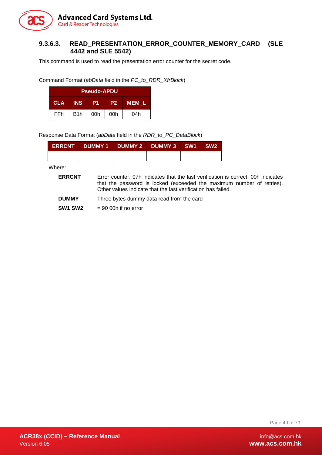

### **9.3.6.3. READ\_PRESENTATION\_ERROR\_COUNTER\_MEMORY\_CARD (SLE 4442 and SLE 5542)**

This command is used to read the presentation error counter for the secret code.

Command Format (*abData* field in the *PC\_to\_RDR\_XfrBlock*)

|                                                                  | <b>Pseudo-APDU</b> |     |     |     |  |  |  |  |  |  |  |  |
|------------------------------------------------------------------|--------------------|-----|-----|-----|--|--|--|--|--|--|--|--|
| <b>INS</b><br><b>CLA</b><br>P <sub>2</sub><br><b>MEM L</b><br>P1 |                    |     |     |     |  |  |  |  |  |  |  |  |
| FFh                                                              | B <sub>1</sub> h   | 00h | 00h | 04h |  |  |  |  |  |  |  |  |

Response Data Format (*abData* field in the *RDR\_to\_PC\_DataBlock*)

|  | ERRCNT DUMMY 1 DUMMY 2 DUMMY 3 SW1 SW2 |  |
|--|----------------------------------------|--|
|  |                                        |  |

Where:

| <b>ERRCNT</b>  | Error counter, 07h indicates that the last verification is correct, 00h indicates<br>that the password is locked (exceeded the maximum number of retries).<br>Other values indicate that the last verification has failed.     |
|----------------|--------------------------------------------------------------------------------------------------------------------------------------------------------------------------------------------------------------------------------|
| <b>BUREAUX</b> | The contract of the contract of the contract of the contract of the contract of the contract of the contract of the contract of the contract of the contract of the contract of the contract of the contract of the contract o |

- **DUMMY** Three bytes dummy data read from the card
- **SW1 SW2** = 90 00h if no error

Page 49 of 79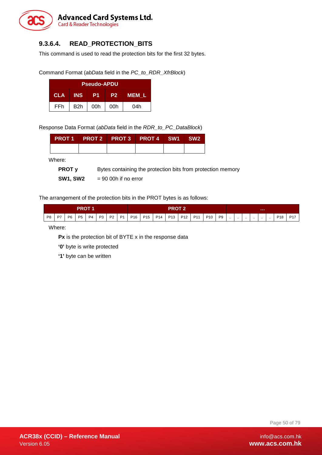

# **9.3.6.4. READ\_PROTECTION\_BITS**

This command is used to read the protection bits for the first 32 bytes.

Command Format (*abData* field in the *PC\_to\_RDR\_XfrBlock*)

| <b>Pseudo-APDU</b>                                        |                  |     |     |     |  |  |  |  |  |  |  |
|-----------------------------------------------------------|------------------|-----|-----|-----|--|--|--|--|--|--|--|
| <b>INS</b><br><b>CLA</b><br>MEM L<br>P <sub>2</sub><br>P1 |                  |     |     |     |  |  |  |  |  |  |  |
| FFh                                                       | B <sub>2</sub> h | 00h | 00h | 04h |  |  |  |  |  |  |  |

Response Data Format (*abData* field in the *RDR\_to\_PC\_DataBlock*)

|  | PROT 1 PROT 2 PROT 3 PROT 4 SW1 SW2 |  |  |
|--|-------------------------------------|--|--|
|  |                                     |  |  |

Where:

**PROT y** Bytes containing the protection bits from protection memory

**SW1, SW2** = 90 00h if no error

The arrangement of the protection bits in the PROT bytes is as follows:

| <b>PROT</b> |    |                |           | PROT           |      |                |                |                 | .               |     |                 |                 |            |                 |                |          |           |          |           |           |           |                 |            |
|-------------|----|----------------|-----------|----------------|------|----------------|----------------|-----------------|-----------------|-----|-----------------|-----------------|------------|-----------------|----------------|----------|-----------|----------|-----------|-----------|-----------|-----------------|------------|
| <b>PR</b>   | D7 | P <sub>6</sub> | <b>P5</b> | P <sub>4</sub> | פרם. | P <sub>2</sub> | P <sub>1</sub> | P <sub>16</sub> | P <sub>15</sub> | P14 | P <sub>13</sub> | P <sub>12</sub> | <b>D11</b> | P <sub>10</sub> | <b>P9</b><br>◡ | $\cdots$ | $\cdot$ . | $\cdots$ | $\cdot$ . | $\cdot$ . | $\cdot$ . | D <sub>19</sub> | <b>D17</b> |

Where:

**Px** is the protection bit of BYTE x in the response data

'0' byte is write protected

**'1'** byte can be written

Page 50 of 79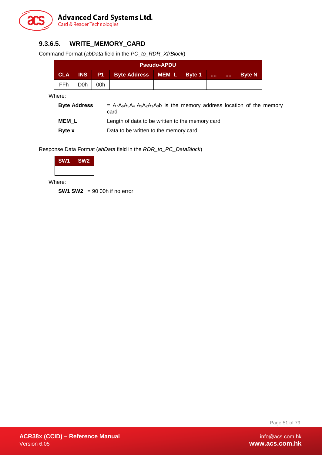

# **9.3.6.5. WRITE\_MEMORY\_CARD**

Command Format (*abData* field in the *PC\_to\_RDR\_XfrBlock*)

|                                                                                            | <b>Pseudo-APDU</b> |     |  |  |  |  |  |  |  |  |  |  |
|--------------------------------------------------------------------------------------------|--------------------|-----|--|--|--|--|--|--|--|--|--|--|
| <b>CLA</b><br>INS P1 Byte Address MEM_L<br>Byte 1<br><b>Byte N</b><br><b>A 6 6 6 1</b><br> |                    |     |  |  |  |  |  |  |  |  |  |  |
| FFh.                                                                                       | D0h.               | 00h |  |  |  |  |  |  |  |  |  |  |

Where:

| <b>Byte Address</b> | $= A_7A_6A_5A_4 A_3A_2A_1A_0$ is the memory address location of the memory<br>card |
|---------------------|------------------------------------------------------------------------------------|
| <b>MEM L</b>        | Length of data to be written to the memory card                                    |
| <b>Byte</b> x       | Data to be written to the memory card                                              |

Response Data Format (*abData* field in the *RDR\_to\_PC\_DataBlock*)

| <b>SW1</b> | SW <sub>2</sub> |
|------------|-----------------|
|            |                 |

Where:

**SW1 SW2** = 90 00h if no error

Page 51 of 79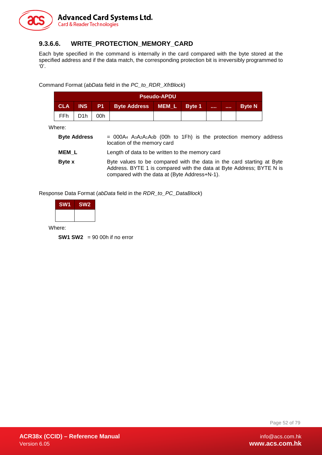

### **9.3.6.6. WRITE\_PROTECTION\_MEMORY\_CARD**

Each byte specified in the command is internally in the card compared with the byte stored at the specified address and if the data match, the corresponding protection bit is irreversibly programmed to  $'0'$ .

Command Format (*abData* field in the *PC\_to\_RDR\_XfrBlock*)

| <b>Pseudo-APDU</b>                                                                       |                  |     |  |  |  |  |  |               |
|------------------------------------------------------------------------------------------|------------------|-----|--|--|--|--|--|---------------|
| <b>CLA</b><br><b>INS</b><br>P1 Byte Address MEM L Byte 1<br><b>STATE</b><br><b>STATE</b> |                  |     |  |  |  |  |  | <b>Byte N</b> |
| FFh                                                                                      | D <sub>1</sub> h | 00h |  |  |  |  |  |               |

Where:

| <b>Byte Address</b> | $=$ 000A <sub>4</sub> A <sub>3</sub> A <sub>2</sub> A <sub>1</sub> A <sub>0</sub> b (00h to 1Fh) is the protection memory address<br>location of the memory card                               |
|---------------------|------------------------------------------------------------------------------------------------------------------------------------------------------------------------------------------------|
| <b>MEM L</b>        | Length of data to be written to the memory card                                                                                                                                                |
| <b>Byte</b> x       | Byte values to be compared with the data in the card starting at Byte<br>Address. BYTE 1 is compared with the data at Byte Address; BYTE N is<br>compared with the data at (Byte Address+N-1). |

Response Data Format (*abData* field in the *RDR\_to\_PC\_DataBlock*)

| SW <sub>1</sub> | SW <sub>2</sub> |
|-----------------|-----------------|
|                 |                 |

Where:

**SW1 SW2** = 90 00h if no error

Page 52 of 79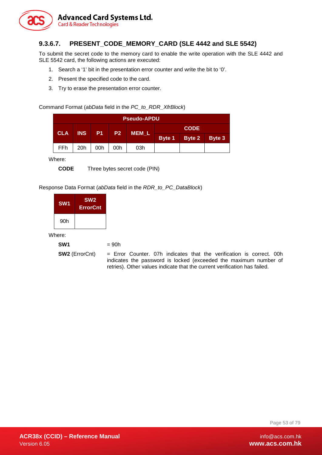

# **9.3.6.7. PRESENT\_CODE\_MEMORY\_CARD (SLE 4442 and SLE 5542)**

To submit the secret code to the memory card to enable the write operation with the SLE 4442 and SLE 5542 card, the following actions are executed:

- 1. Search a '1' bit in the presentation error counter and write the bit to '0'.
- 2. Present the specified code to the card.
- 3. Try to erase the presentation error counter.

Command Format (*abData* field in the *PC\_to\_RDR\_XfrBlock*)

| Pseudo-APDU. |            |     |              |             |  |                      |  |  |  |
|--------------|------------|-----|--------------|-------------|--|----------------------|--|--|--|
|              |            |     |              | <b>CODE</b> |  |                      |  |  |  |
| <b>CLA</b>   | <b>INS</b> |     | <b>P1</b> P2 | MEM_L       |  | Byte 1 Byte 2 Byte 3 |  |  |  |
| FFh          | 20h        | 00h | 00h          | 03h         |  |                      |  |  |  |

Where:

**CODE** Three bytes secret code (PIN)

Response Data Format (*abData* field in the *RDR\_to\_PC\_DataBlock*)

| SW <sub>1</sub> | SW <sub>2</sub><br><b>ErrorCnt</b> |
|-----------------|------------------------------------|
| 90h             |                                    |

Where:

```
SW1 = 90h
```
**SW2** (ErrorCnt) = Error Counter. 07h indicates that the verification is correct. 00h indicates the password is locked (exceeded the maximum number of retries). Other values indicate that the current verification has failed.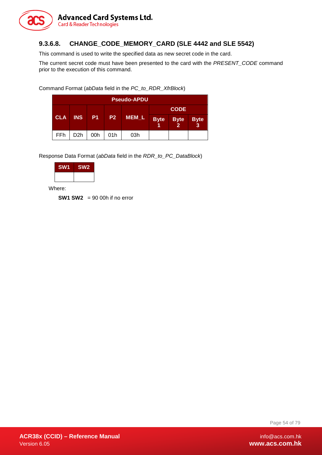

### **9.3.6.8. CHANGE\_CODE\_MEMORY\_CARD (SLE 4442 and SLE 5542)**

This command is used to write the specified data as new secret code in the card.

The current secret code must have been presented to the card with the *PRESENT\_CODE* command prior to the execution of this command.

Command Format (*abData* field in the *PC\_to\_RDR\_XfrBlock*)

| <b>Pseudo-APDU</b> |                  |           |                |       |             |                               |                   |
|--------------------|------------------|-----------|----------------|-------|-------------|-------------------------------|-------------------|
|                    |                  |           |                |       |             | <b>CODE</b>                   |                   |
| <b>CLA</b>         | <b>INS</b>       | <b>P1</b> | P <sub>2</sub> | MEM_L | <b>Byte</b> | <b>Byte</b><br>$\overline{2}$ | <b>Byte</b><br>-3 |
| FFh                | D <sub>2</sub> h | 00h       | 01h            | 03h   |             |                               |                   |

Response Data Format (*abData* field in the *RDR\_to\_PC\_DataBlock*)

| <b>SW1</b> | SW <sub>2</sub> |
|------------|-----------------|
|            |                 |

Where:

**SW1 SW2** = 90 00h if no error

Page 54 of 79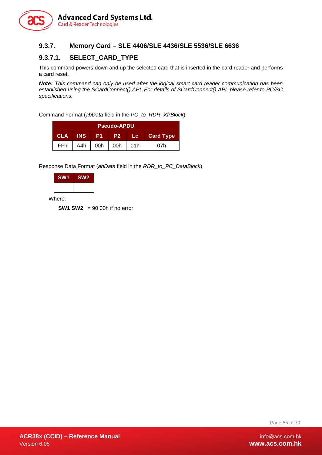

### **9.3.7. Memory Card – SLE 4406/SLE 4436/SLE 5536/SLE 6636**

# **9.3.7.1. SELECT\_CARD\_TYPE**

This command powers down and up the selected card that is inserted in the card reader and performs a card reset.

*Note: This command can only be used after the logical smart card reader communication has been established using the SCardConnect() API. For details of SCardConnect() API, please refer to PC/SC specifications.*

Command Format (*abData* field in the *PC\_to\_RDR\_XfrBlock*)

| <b>Pseudo-APDU</b>                                                          |     |     |     |     |     |  |  |
|-----------------------------------------------------------------------------|-----|-----|-----|-----|-----|--|--|
| <b>CLA</b><br><b>INS</b><br><b>Card Type</b><br>P1<br>P <sub>2</sub><br>Lc: |     |     |     |     |     |  |  |
| FFh                                                                         | A4h | 00h | 00h | 01h | 07h |  |  |

Response Data Format (*abData* field in the *RDR\_to\_PC\_DataBlock*)

| <b>SW1</b> | SW <sub>2</sub> |
|------------|-----------------|
|            |                 |

Where:

**SW1 SW2** = 90 00h if no error

Page 55 of 79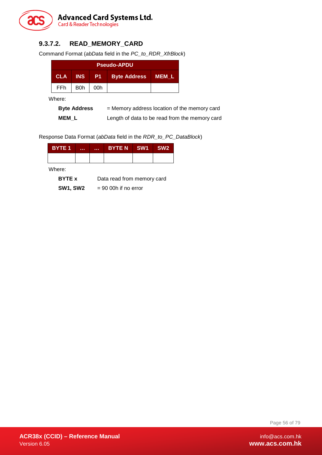

# **9.3.7.2. READ\_MEMORY\_CARD**

Command Format (*abData* field in the *PC\_to\_RDR\_XfrBlock*)

|            | <b>Pseudo-APDU</b> |        |                     |       |  |  |  |  |
|------------|--------------------|--------|---------------------|-------|--|--|--|--|
| <b>CLA</b> | <b>INS</b>         | - P1 - | <b>Byte Address</b> | MEM L |  |  |  |  |
| FFh        | B0h                | 00h    |                     |       |  |  |  |  |

Where:

| <b>Byte Address</b> | = Memory address location of the memory card   |
|---------------------|------------------------------------------------|
| <b>MEM L</b>        | Length of data to be read from the memory card |

Response Data Format (*abData* field in the *RDR\_to\_PC\_DataBlock*)

| <b>BYTE 1</b> | <br><b>ALC UNI</b> | BYTE N SW1 | SW <sub>2</sub> |
|---------------|--------------------|------------|-----------------|
|               |                    |            |                 |
| Where:        |                    |            |                 |

| <b>BYTE</b> x   | Data read from memory card |
|-----------------|----------------------------|
| <b>SW1, SW2</b> | $= 90$ 00h if no error     |

Page 56 of 79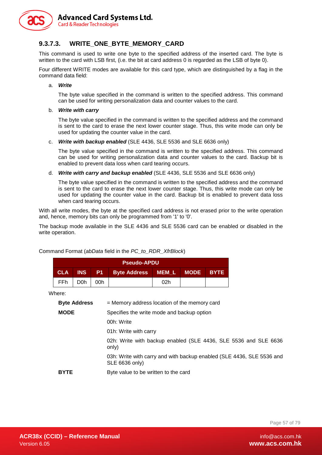

**Advanced Card Systems Ltd. Card & Reader Technologies** 

### **9.3.7.3. WRITE\_ONE\_BYTE\_MEMORY\_CARD**

This command is used to write one byte to the specified address of the inserted card. The byte is written to the card with LSB first, (i.e. the bit at card address 0 is regarded as the LSB of byte 0).

Four different WRITE modes are available for this card type, which are distinguished by a flag in the command data field:

a. *Write*

The byte value specified in the command is written to the specified address. This command can be used for writing personalization data and counter values to the card.

#### b. *Write with carry*

The byte value specified in the command is written to the specified address and the command is sent to the card to erase the next lower counter stage. Thus, this write mode can only be used for updating the counter value in the card.

#### c. *Write with backup enabled* (SLE 4436, SLE 5536 and SLE 6636 only)

The byte value specified in the command is written to the specified address. This command can be used for writing personalization data and counter values to the card. Backup bit is enabled to prevent data loss when card tearing occurs.

#### d. *Write with carry and backup enabled* (SLE 4436, SLE 5536 and SLE 6636 only)

The byte value specified in the command is written to the specified address and the command is sent to the card to erase the next lower counter stage. Thus, this write mode can only be used for updating the counter value in the card. Backup bit is enabled to prevent data loss when card tearing occurs.

With all write modes, the byte at the specified card address is not erased prior to the write operation and, hence, memory bits can only be programmed from '1' to '0'.

The backup mode available in the SLE 4436 and SLE 5536 card can be enabled or disabled in the write operation.

|                                                           | <b>Pseudo-APDU</b>    |     |                                                                                         |              |             |             |  |  |
|-----------------------------------------------------------|-----------------------|-----|-----------------------------------------------------------------------------------------|--------------|-------------|-------------|--|--|
| <b>CLA</b>                                                | <b>INS</b>            | P1. | <b>Byte Address</b>                                                                     | <b>MEM L</b> | <b>MODE</b> | <b>BYTE</b> |  |  |
| <b>FFh</b>                                                | D <sub>0</sub> h      | 00h |                                                                                         | 02h          |             |             |  |  |
| Where:                                                    |                       |     |                                                                                         |              |             |             |  |  |
|                                                           | <b>Byte Address</b>   |     | = Memory address location of the memory card                                            |              |             |             |  |  |
| <b>MODE</b><br>Specifies the write mode and backup option |                       |     |                                                                                         |              |             |             |  |  |
|                                                           |                       |     | 00h: Write                                                                              |              |             |             |  |  |
|                                                           | 01h: Write with carry |     |                                                                                         |              |             |             |  |  |
|                                                           |                       |     | 02h: Write with backup enabled (SLE 4436, SLE 5536 and SLE 6636<br>only)                |              |             |             |  |  |
|                                                           |                       |     | 03h: Write with carry and with backup enabled (SLE 4436, SLE 5536 and<br>SLE 6636 only) |              |             |             |  |  |
| <b>BYTE</b>                                               |                       |     | Byte value to be written to the card                                                    |              |             |             |  |  |

Command Format (*abData* field in the *PC\_to\_RDR\_XfrBlock*)

Page 57 of 79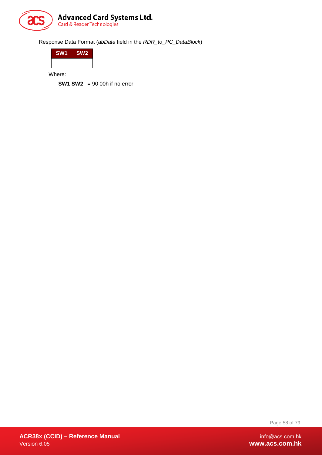

Response Data Format (*abData* field in the *RDR\_to\_PC\_DataBlock*)

| <b>SW1</b> | SW <sub>2</sub> |
|------------|-----------------|
|            |                 |

Where:

**SW1 SW2** = 90 00h if no error

Page 58 of 79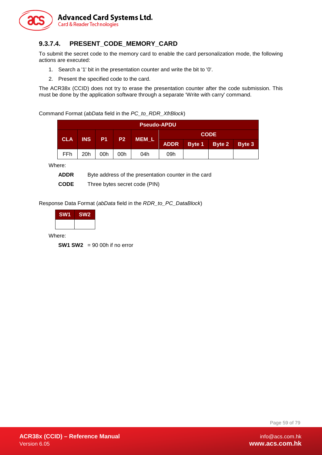

# **9.3.7.4. PRESENT\_CODE\_MEMORY\_CARD**

To submit the secret code to the memory card to enable the card personalization mode, the following actions are executed:

- 1. Search a '1' bit in the presentation counter and write the bit to '0'.
- 2. Present the specified code to the card.

The ACR38x (CCID) does not try to erase the presentation counter after the code submission. This must be done by the application software through a separate 'Write with carry' command.

Command Format (*abData* field in the *PC\_to\_RDR\_XfrBlock*)

| <b>Pseudo-APDU</b> |            |           |                |              |             |  |               |               |  |
|--------------------|------------|-----------|----------------|--------------|-------------|--|---------------|---------------|--|
| <b>CLA</b>         | <b>INS</b> |           | P <sub>2</sub> |              |             |  | <b>CODE</b>   |               |  |
|                    |            | <b>P1</b> |                | <b>MEM_L</b> | <b>ADDR</b> |  | Byte 1 Byte 2 | <b>Byte 3</b> |  |
| <b>FFh</b>         | 20h        | 00h       | 00h            | 04h          | 09h         |  |               |               |  |

Where:

**ADDR** Byte address of the presentation counter in the card

**CODE** Three bytes secret code (PIN)

Response Data Format (*abData* field in the *RDR\_to\_PC\_DataBlock*)

| SW <sub>2</sub> |
|-----------------|
|                 |
|                 |

Where:

**SW1 SW2** = 90 00h if no error

Page 59 of 79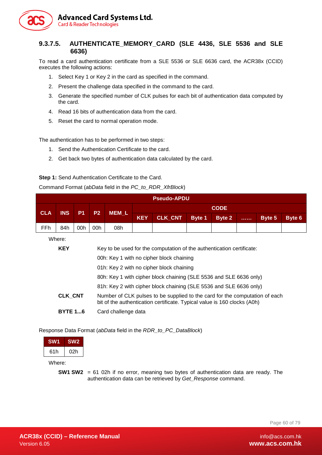

### **9.3.7.5. AUTHENTICATE\_MEMORY\_CARD (SLE 4436, SLE 5536 and SLE 6636)**

To read a card authentication certificate from a SLE 5536 or SLE 6636 card, the ACR38x (CCID) executes the following actions:

- 1. Select Key 1 or Key 2 in the card as specified in the command.
- 2. Present the challenge data specified in the command to the card.
- 3. Generate the specified number of CLK pulses for each bit of authentication data computed by the card.
- 4. Read 16 bits of authentication data from the card.
- 5. Reset the card to normal operation mode.

The authentication has to be performed in two steps:

- 1. Send the Authentication Certificate to the card.
- 2. Get back two bytes of authentication data calculated by the card.

#### **Step 1:** Send Authentication Certificate to the Card.

Command Format (*abData* field in the *PC\_to\_RDR\_XfrBlock*)

|            | <b>Pseudo-APDU</b>                  |     |     |         |            |                |        |        |                           |        |        |
|------------|-------------------------------------|-----|-----|---------|------------|----------------|--------|--------|---------------------------|--------|--------|
| <b>CLA</b> | <b>CODE</b><br>P1<br>P <sub>2</sub> |     |     |         |            |                |        |        |                           |        |        |
|            | <b>INS</b>                          |     |     | $MEM_L$ | <b>KEY</b> | <b>CLK CNT</b> | Byte 1 | Byte 2 | $\sim 100$ and $\sim 100$ | Byte 5 | Byte 6 |
| FFh        | 84h                                 | 00h | 00h | 08h     |            |                |        |        |                           |        |        |

Where:

| <b>KEY</b>     | Key to be used for the computation of the authentication certificate:                                                                                   |
|----------------|---------------------------------------------------------------------------------------------------------------------------------------------------------|
|                | 00h: Key 1 with no cipher block chaining                                                                                                                |
|                | 01h: Key 2 with no cipher block chaining                                                                                                                |
|                | 80h: Key 1 with cipher block chaining (SLE 5536 and SLE 6636 only)                                                                                      |
|                | 81h: Key 2 with cipher block chaining (SLE 5536 and SLE 6636 only)                                                                                      |
| <b>CLK CNT</b> | Number of CLK pulses to be supplied to the card for the computation of each<br>bit of the authentication certificate. Typical value is 160 clocks (A0h) |
| <b>BYTE 16</b> | Card challenge data                                                                                                                                     |

Response Data Format (*abData* field in the *RDR\_to\_PC\_DataBlock*)

| <b>SW1</b> | SW <sub>2</sub> |
|------------|-----------------|
| 61h        | 02h             |

Where:

**SW1 SW2** = 61 02h if no error, meaning two bytes of authentication data are ready. The authentication data can be retrieved by *Get\_Response* command.

Page 60 of 79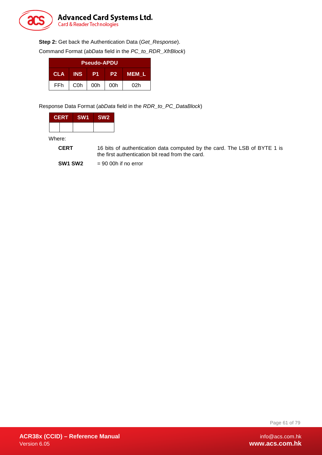

**Step 2:** Get back the Authentication Data (*Get\_Response*).

Command Format (*abData* field in the *PC\_to\_RDR\_XfrBlock*)

| <b>Pseudo-APDU</b> |                  |     |                |              |  |  |  |
|--------------------|------------------|-----|----------------|--------------|--|--|--|
| <b>CLA</b>         | <b>INS</b>       | P1  | P <sub>2</sub> | <b>MEM L</b> |  |  |  |
| FFh                | C <sub>0</sub> h | 00h | 00h            | 02h          |  |  |  |

Response Data Format (*abData* field in the *RDR\_to\_PC\_DataBlock*)

| <b>CERT</b> | SW <sub>1</sub> | SW <sub>2</sub> |
|-------------|-----------------|-----------------|
|             |                 |                 |

Where:

**CERT** 16 bits of authentication data computed by the card. The LSB of BYTE 1 is the first authentication bit read from the card.

**SW1 SW2** = 90 00h if no error

Page 61 of 79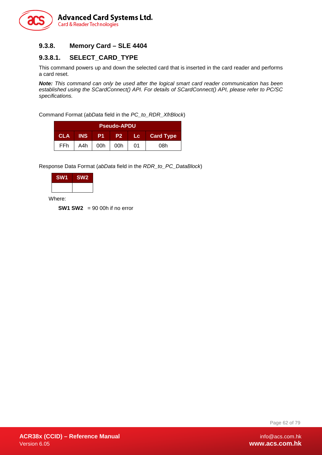

# **9.3.8. Memory Card – SLE 4404**

### **9.3.8.1. SELECT\_CARD\_TYPE**

This command powers up and down the selected card that is inserted in the card reader and performs a card reset.

*Note: This command can only be used after the logical smart card reader communication has been established using the SCardConnect() API. For details of SCardConnect() API, please refer to PC/SC specifications.*

Command Format (*abData* field in the *PC\_to\_RDR\_XfrBlock*)

| <b>Pseudo-APDU</b> |            |                |           |        |                  |  |
|--------------------|------------|----------------|-----------|--------|------------------|--|
| <b>CLA</b>         | <b>INS</b> | P <sub>1</sub> | <b>P2</b> | ' Lc ⊣ | <b>Card Type</b> |  |
| FFh.               | A4h        | 00h            | 00h       | 01     | 08h              |  |

Response Data Format (*abData* field in the *RDR\_to\_PC\_DataBlock*)

| <b>SW1</b> | SW <sub>2</sub> |
|------------|-----------------|
|            |                 |

Where:

**SW1 SW2** = 90 00h if no error

Page 62 of 79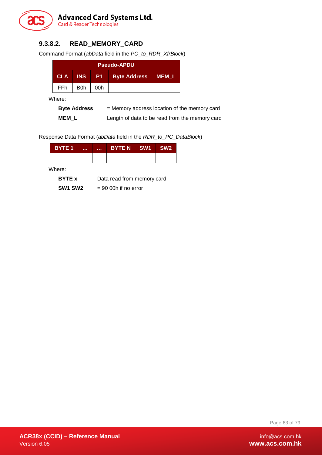

# **9.3.8.2. READ\_MEMORY\_CARD**

Command Format (*abData* field in the *PC\_to\_RDR\_XfrBlock*)

| <b>Pseudo-APDU</b> |            |            |                     |              |  |
|--------------------|------------|------------|---------------------|--------------|--|
| <b>CLA</b>         | <b>INS</b> | <b>421</b> | <b>Byte Address</b> | <b>MEM L</b> |  |
| FFh                | B0h        | 00h        |                     |              |  |

Where:

| <b>Byte Address</b> | = Memory address location of the memory card   |
|---------------------|------------------------------------------------|
| <b>MEM L</b>        | Length of data to be read from the memory card |

Response Data Format (*abData* field in the *RDR\_to\_PC\_DataBlock*)

| <b>BYTE 1</b> | . | . | <b>BYTE N</b>              | <b>SW1</b> | SW <sub>2</sub> |
|---------------|---|---|----------------------------|------------|-----------------|
|               |   |   |                            |            |                 |
| Where:        |   |   |                            |            |                 |
| <b>BYTE</b> x |   |   | Data read from memory card |            |                 |

**SW1 SW2** = 90 00h if no error

Page 63 of 79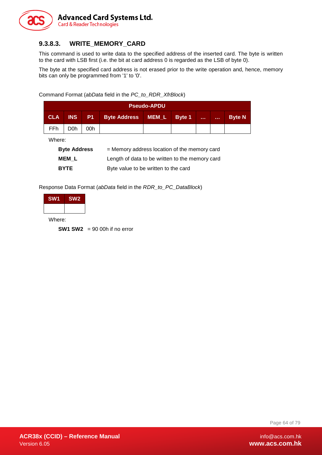

# **9.3.8.3. WRITE\_MEMORY\_CARD**

This command is used to write data to the specified address of the inserted card. The byte is written to the card with LSB first (i.e. the bit at card address 0 is regarded as the LSB of byte 0).

The byte at the specified card address is not erased prior to the write operation and, hence, memory bits can only be programmed from '1' to '0'.

Command Format (*abData* field in the *PC\_to\_RDR\_XfrBlock*)

|            | <b>Pseudo-APDU</b> |     |                    |  |        |              |                |               |
|------------|--------------------|-----|--------------------|--|--------|--------------|----------------|---------------|
| <b>CLA</b> | <b>INS</b>         | P1  | Byte Address MEM_L |  | Byte 1 | <b>A</b> A A | <b>ALC UNI</b> | <b>Byte N</b> |
| FFh        | D <sub>0</sub> h   | 00h |                    |  |        |              |                |               |
| ∙here Wh   |                    |     |                    |  |        |              |                |               |

Where:

| <b>Byte Address</b> | = Memory address location of the memory card    |
|---------------------|-------------------------------------------------|
| MEM L               | Length of data to be written to the memory card |
| <b>BYTE</b>         | Byte value to be written to the card            |

Response Data Format (*abData* field in the *RDR\_to\_PC\_DataBlock*)

| SW <sub>1</sub> | SW <sub>2</sub> |
|-----------------|-----------------|
|                 |                 |

Where:

**SW1 SW2** = 90 00h if no error

Page 64 of 79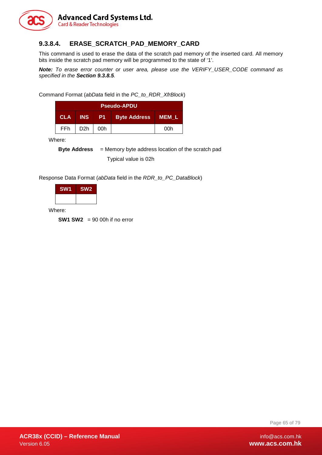

## **9.3.8.4. ERASE\_SCRATCH\_PAD\_MEMORY\_CARD**

This command is used to erase the data of the scratch pad memory of the inserted card. All memory bits inside the scratch pad memory will be programmed to the state of '1'.

*Note: To erase error counter or user area, please use the VERIFY\_USER\_CODE command as specified in the Section [9.3.8.5](#page-65-0).*

Command Format (*abData* field in the *PC\_to\_RDR\_XfrBlock*)

| <b>Pseudo-APDU</b> |            |       |                     |              |  |
|--------------------|------------|-------|---------------------|--------------|--|
| <b>CLA</b>         | <b>INS</b> | -P1 - | <b>Byte Address</b> | <b>MEM L</b> |  |
| FFh                | D2h        | 00h   |                     | 00h          |  |

Where:

**Byte Address** = Memory byte address location of the scratch pad Typical value is 02h

Response Data Format (*abData* field in the *RDR\_to\_PC\_DataBlock*)

| SW <sub>1</sub> | SW <sub>2</sub> |
|-----------------|-----------------|
|                 |                 |

Where:

**SW1 SW2** = 90 00h if no error

Page 65 of 79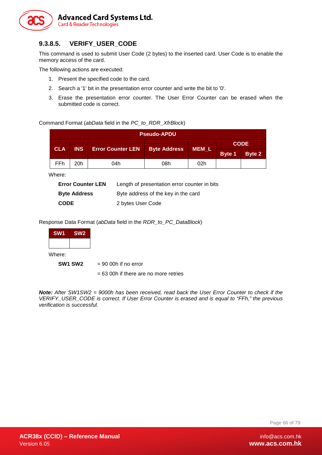

# <span id="page-65-0"></span>**9.3.8.5. VERIFY\_USER\_CODE**

This command is used to submit User Code (2 bytes) to the inserted card. User Code is to enable the memory access of the card.

The following actions are executed:

- 1. Present the specified code to the card.
- 2. Search a '1' bit in the presentation error counter and write the bit to '0'.
- 3. Erase the presentation error counter. The User Error Counter can be erased when the submitted code is correct.

Command Format (*abData* field in the *PC\_to\_RDR\_XfrBlock*)

| <b>Pseudo-APDU</b> |            |                          |                     |              |             |               |
|--------------------|------------|--------------------------|---------------------|--------------|-------------|---------------|
| <b>CLA</b>         | <b>INS</b> | <b>Error Counter LEN</b> | <b>Byte Address</b> | <b>MEM_L</b> | <b>CODE</b> |               |
|                    |            |                          |                     |              | Byte 1      | <b>Byte 2</b> |
| <b>FFh</b>         | 20h        | 04h                      | 08h                 | 02h          |             |               |

Where:

| <b>Error Counter LEN</b> | Length of presentation error counter in bits |
|--------------------------|----------------------------------------------|
| <b>Byte Address</b>      | Byte address of the key in the card          |
| <b>CODE</b>              | 2 bytes User Code                            |

Response Data Format (*abData* field in the *RDR\_to\_PC\_DataBlock*)

| SW <sub>1</sub> | SW <sub>2</sub>                 |                                         |
|-----------------|---------------------------------|-----------------------------------------|
|                 |                                 |                                         |
| Where:          |                                 |                                         |
|                 | SW <sub>1</sub> SW <sub>2</sub> | $= 90$ 00h if no error                  |
|                 |                                 | $= 63$ 00h if there are no more retries |

*Note: After SW1SW2 = 9000h has been received, read back the User Error Counter to check if the VERIFY\_USER\_CODE is correct. If User Error Counter is erased and is equal to "FFh," the previous verification is successful.*

Page 66 of 79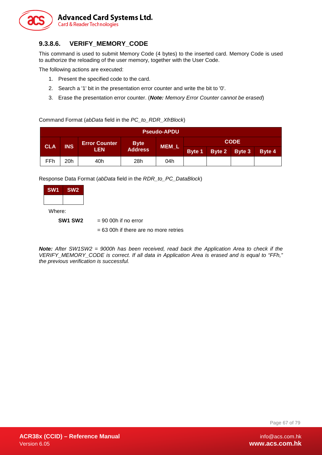

# **9.3.8.6. VERIFY\_MEMORY\_CODE**

This command is used to submit Memory Code (4 bytes) to the inserted card. Memory Code is used to authorize the reloading of the user memory, together with the User Code.

The following actions are executed:

- 1. Present the specified code to the card.
- 2. Search a '1' bit in the presentation error counter and write the bit to '0'.
- 3. Erase the presentation error counter. (*Note: Memory Error Counter cannot be erased*)

#### Command Format (*abData* field in the *PC\_to\_RDR\_XfrBlock*)

| <b>Pseudo-APDU</b> |            |                      |                |       |               |        |        |        |  |
|--------------------|------------|----------------------|----------------|-------|---------------|--------|--------|--------|--|
| <b>CLA</b>         | <b>INS</b> | <b>Error Counter</b> | <b>Byte</b>    | MEM L | <b>CODE</b>   |        |        |        |  |
|                    |            | <b>LEN</b>           | <b>Address</b> |       | <b>Byte 1</b> | Byte 2 | Byte 3 | Byte 4 |  |
| FFh                | 20h        | 40h                  | 28h            | 04h   |               |        |        |        |  |

Response Data Format (*abData* field in the *RDR\_to\_PC\_DataBlock*)

| <b>SW1</b> | SW <sub>2</sub> |
|------------|-----------------|
|            |                 |
|            |                 |

Where:

**SW1 SW2** = 90 00h if no error

= 63 00h if there are no more retries

*Note: After SW1SW2 = 9000h has been received, read back the Application Area to check if the VERIFY\_MEMORY\_CODE is correct. If all data in Application Area is erased and is equal to "FFh," the previous verification is successful.*

Page 67 of 79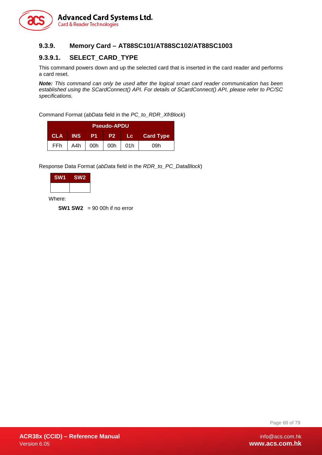

### **9.3.9. Memory Card – AT88SC101/AT88SC102/AT88SC1003**

### **9.3.9.1. SELECT\_CARD\_TYPE**

This command powers down and up the selected card that is inserted in the card reader and performs a card reset.

*Note: This command can only be used after the logical smart card reader communication has been established using the SCardConnect() API. For details of SCardConnect() API, please refer to PC/SC specifications.*

Command Format (*abData* field in the *PC\_to\_RDR\_XfrBlock*)

| <b>Pseudo-APDU</b>                                                            |     |     |     |       |     |  |  |
|-------------------------------------------------------------------------------|-----|-----|-----|-------|-----|--|--|
| <b>CLA INS</b><br><b>P1</b><br><b>ALC DE</b><br><b>Card Type</b><br><b>P2</b> |     |     |     |       |     |  |  |
| FFh.                                                                          | A4h | 00h | 00h | l 01h | 09h |  |  |

Response Data Format (*abData* field in the *RDR\_to\_PC\_DataBlock*)

| <b>SW1</b> | SW <sub>2</sub> |
|------------|-----------------|
|            |                 |

Where:

**SW1 SW2** = 90 00h if no error

Page 68 of 79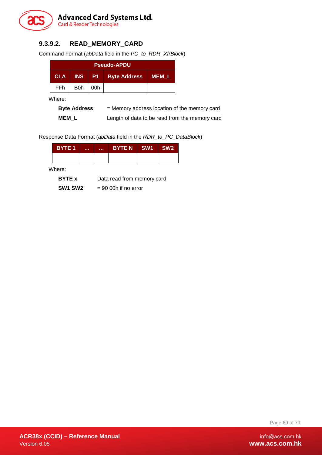

# **9.3.9.2. READ\_MEMORY\_CARD**

Command Format (*abData* field in the *PC\_to\_RDR\_XfrBlock*)

| <b>Pseudo-APDU</b> |                  |        |                     |              |  |  |
|--------------------|------------------|--------|---------------------|--------------|--|--|
| <b>CLA</b>         | <b>INS</b>       | I P1 ∴ | <b>Byte Address</b> | <b>MEM L</b> |  |  |
| FFh                | B <sub>0</sub> h | 00h    |                     |              |  |  |

Where:

| <b>Byte Address</b> | $=$ Memory address location of the memory card |
|---------------------|------------------------------------------------|
| <b>MEM L</b>        | Length of data to be read from the memory card |

Response Data Format (*abData* field in the *RDR\_to\_PC\_DataBlock*)

| <b>BYTE 1</b>                               |  | . | <b>A 4 6</b> | <b>BYTE N</b> | <b>SW1</b> | SW2. |
|---------------------------------------------|--|---|--------------|---------------|------------|------|
|                                             |  |   |              |               |            |      |
| Where:                                      |  |   |              |               |            |      |
| Data read from memory card<br><b>BYTE</b> x |  |   |              |               |            |      |

**SW1 SW2** = 90 00h if no error

Page 69 of 79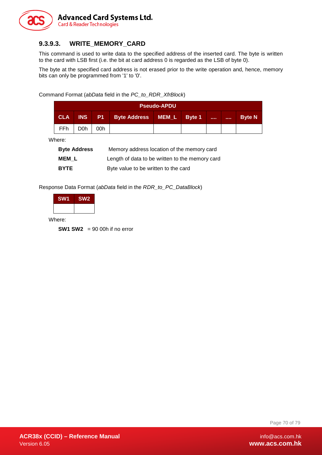

# **9.3.9.3. WRITE\_MEMORY\_CARD**

This command is used to write data to the specified address of the inserted card. The byte is written to the card with LSB first (i.e. the bit at card address 0 is regarded as the LSB of byte 0).

The byte at the specified card address is not erased prior to the write operation and, hence, memory bits can only be programmed from '1' to '0'.

Command Format (*abData* field in the *PC\_to\_RDR\_XfrBlock*)

|            | <b>Pseudo-APDU</b> |     |                                    |  |  |              |                |               |  |
|------------|--------------------|-----|------------------------------------|--|--|--------------|----------------|---------------|--|
| <b>CLA</b> |                    |     | INS P1 Byte Address   MEM_L Byte 1 |  |  | <b>STATE</b> | <b>A 6 6 6</b> | <b>Byte N</b> |  |
| <b>FFh</b> | D0h                | 00h |                                    |  |  |              |                |               |  |

Where:

| <b>Byte Address</b> | Memory address location of the memory card      |
|---------------------|-------------------------------------------------|
| MEM L               | Length of data to be written to the memory card |
| <b>BYTE</b>         | Byte value to be written to the card            |

Response Data Format (*abData* field in the *RDR\_to\_PC\_DataBlock*)

| <b>SW1</b> | SW <sub>2</sub> |
|------------|-----------------|
|            |                 |

Where:

**SW1 SW2** = 90 00h if no error

Page 70 of 79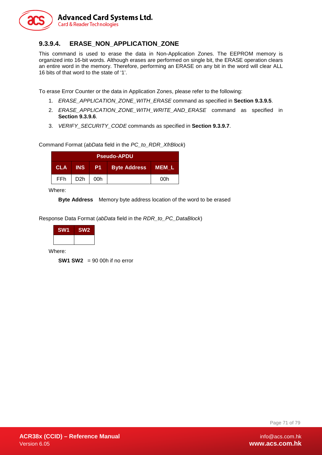

### **9.3.9.4. ERASE\_NON\_APPLICATION\_ZONE**

This command is used to erase the data in Non-Application Zones. The EEPROM memory is organized into 16-bit words. Although erases are performed on single bit, the ERASE operation clears an entire word in the memory. Therefore, performing an ERASE on any bit in the word will clear ALL 16 bits of that word to the state of '1'.

To erase Error Counter or the data in Application Zones, please refer to the following:

- 1. *ERASE\_APPLICATION\_ZONE\_WITH\_ERASE* command as specified in **Section [9.3.9.5](#page-71-0)**.
- 2. *ERASE\_APPLICATION\_ZONE\_WITH\_WRITE\_AND\_ERASE\_command\_as\_specified in* **Section [9.3.9.6](#page-73-0)**.
- 3. *VERIFY\_SECURITY\_CODE* commands as specified in **Section [9.3.9.7](#page-74-0)**.

Command Format (*abData* field in the *PC\_to\_RDR\_XfrBlock*)

| <b>Pseudo-APDU</b> |                  |     |                     |       |  |  |
|--------------------|------------------|-----|---------------------|-------|--|--|
| <b>CLA</b>         | <b>INS</b>       | -P1 | <b>Byte Address</b> | MEM L |  |  |
| FFh                | D <sub>2</sub> h | 00h |                     | 00h   |  |  |

Where:

**Byte Address** Memory byte address location of the word to be erased

Response Data Format (*abData* field in the *RDR\_to\_PC\_DataBlock*)



Where:

**SW1 SW2** = 90 00h if no error

Page 71 of 79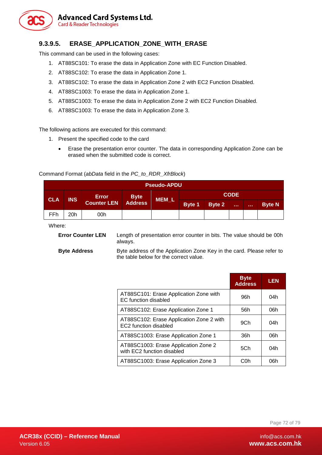

### <span id="page-71-0"></span>**9.3.9.5. ERASE\_APPLICATION\_ZONE\_WITH\_ERASE**

This command can be used in the following cases:

- 1. AT88SC101: To erase the data in Application Zone with EC Function Disabled.
- 2. AT88SC102: To erase the data in Application Zone 1.
- 3. AT88SC102: To erase the data in Application Zone 2 with EC2 Function Disabled.
- 4. AT88SC1003: To erase the data in Application Zone 1.
- 5. AT88SC1003: To erase the data in Application Zone 2 with EC2 Function Disabled.
- 6. AT88SC1003: To erase the data in Application Zone 3.

The following actions are executed for this command:

- 1. Present the specified code to the card
	- Erase the presentation error counter. The data in corresponding Application Zone can be erased when the submitted code is correct.

#### Command Format (*abData* field in the *PC\_to\_RDR\_XfrBlock*)

| <b>Pseudo-APDU</b> |            |                                   |  |       |             |        |              |              |               |  |  |
|--------------------|------------|-----------------------------------|--|-------|-------------|--------|--------------|--------------|---------------|--|--|
| <b>CLA</b>         | <b>INS</b> | Error Byte<br>Counter LEN Address |  | MEM_L | <b>CODE</b> |        |              |              |               |  |  |
|                    |            |                                   |  |       | Byte 1      | Byte 2 | <b>STATE</b> | <b>ALC N</b> | <b>Byte N</b> |  |  |
| FFh                | 20h        | 00h                               |  |       |             |        |              |              |               |  |  |

Where:

**Error Counter LEN** Length of presentation error counter in bits. The value should be 00h always.

**Byte Address** Byte address of the Application Zone Key in the card. Please refer to the table below for the correct value.

|                                                                       | <b>Byte</b><br><b>Address</b> | <b>LEN</b> |
|-----------------------------------------------------------------------|-------------------------------|------------|
| AT88SC101: Erase Application Zone with<br><b>EC</b> function disabled | 96h                           | 04h        |
| AT88SC102: Erase Application Zone 1                                   | 56h                           | 06h        |
| AT88SC102: Erase Application Zone 2 with<br>EC2 function disabled     | 9Ch                           | 04h        |
| AT88SC1003: Erase Application Zone 1                                  | 36h                           | 06h        |
| AT88SC1003: Erase Application Zone 2<br>with EC2 function disabled    | 5Ch                           | 04h        |
| AT88SC1003: Erase Application Zone 3                                  | COh                           | 06h        |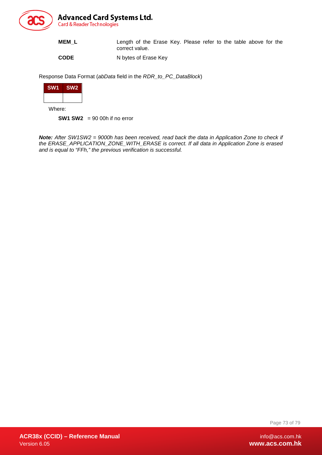

| <b>MEML</b> | Length of the Erase Key. Please refer to the table above for the<br>correct value. |
|-------------|------------------------------------------------------------------------------------|
| <b>CODE</b> | N bytes of Erase Key                                                               |

Response Data Format (*abData* field in the *RDR\_to\_PC\_DataBlock*)



Where:

**SW1 SW2** = 90 00h if no error

*Note: After SW1SW2 = 9000h has been received, read back the data in Application Zone to check if the ERASE\_APPLICATION\_ZONE\_WITH\_ERASE is correct. If all data in Application Zone is erased and is equal to "FFh," the previous verification is successful.*

Page 73 of 79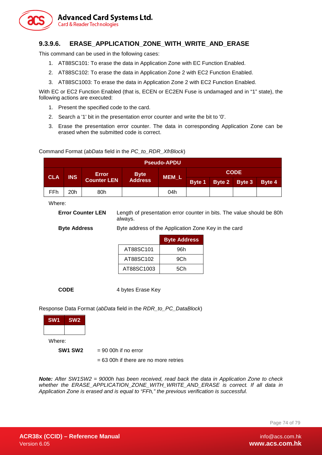

#### **9.3.9.6. ERASE\_APPLICATION\_ZONE\_WITH\_WRITE\_AND\_ERASE**

This command can be used in the following cases:

- 1. AT88SC101: To erase the data in Application Zone with EC Function Enabled.
- 2. AT88SC102: To erase the data in Application Zone 2 with EC2 Function Enabled.
- 3. AT88SC1003: To erase the data in Application Zone 2 with EC2 Function Enabled.

With EC or EC2 Function Enabled (that is, ECEN or EC2EN Fuse is undamaged and in "1" state), the following actions are executed:

1. Present the specified code to the card.

Command Format (*abData* field in the *PC\_to\_RDR\_XfrBlock*)

- 2. Search a '1' bit in the presentation error counter and write the bit to '0'.
- 3. Erase the presentation error counter. The data in corresponding Application Zone can be erased when the submitted code is correct.

| <b>Pseudo-APDU</b> |            |                    |                |       |               |  |               |        |  |  |  |
|--------------------|------------|--------------------|----------------|-------|---------------|--|---------------|--------|--|--|--|
|                    | <b>INS</b> | Error              | <b>Byte</b>    |       | <b>CODE</b>   |  |               |        |  |  |  |
| <b>CLA</b>         |            | <b>Counter LEN</b> | <b>Address</b> | MEM_L | <b>Byte 1</b> |  | Byte 2 Byte 3 | Byte 4 |  |  |  |
| <b>FFh</b>         | 20h        | 80h                |                | 04h   |               |  |               |        |  |  |  |

Where:

**Error Counter LEN** Length of presentation error counter in bits. The value should be 80h always.

**Byte Address** Byte address of the Application Zone Key in the card

**Byte Address** AT88SC101 96h AT88SC102 9Ch

AT88SC1003 | 5Ch

**CODE** 4 bytes Erase Key

Response Data Format (*abData* field in the *RDR\_to\_PC\_DataBlock*)

| SW <sub>1</sub><br>SW <sub>2</sub> |                         |
|------------------------------------|-------------------------|
|                                    |                         |
| Where:                             |                         |
| <b>SW1 SW2</b>                     | $= 90$ 00h if no error  |
|                                    | $= 63 00h$ if there are |

63 00h if there are no more retries

*Note: After SW1SW2 = 9000h has been received, read back the data in Application Zone to check whether the ERASE\_APPLICATION\_ZONE\_WITH\_WRITE\_AND\_ERASE is correct. If all data in Application Zone is erased and is equal to "FFh," the previous verification is successful.*

Page 74 of 79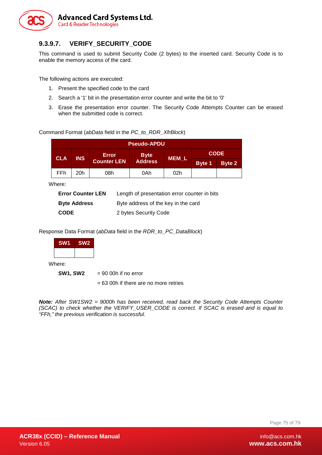

### **9.3.9.7. VERIFY\_SECURITY\_CODE**

This command is used to submit Security Code (2 bytes) to the inserted card. Security Code is to enable the memory access of the card.

The following actions are executed:

- 1. Present the specified code to the card
- 2. Search a '1' bit in the presentation error counter and write the bit to '0'
- 3. Erase the presentation error counter. The Security Code Attempts Counter can be erased when the submitted code is correct.

Command Format (*abData* field in the *PC\_to\_RDR\_XfrBlock*)

| <b>Pseudo-APDU</b> |            |                    |                |              |               |             |  |  |  |  |
|--------------------|------------|--------------------|----------------|--------------|---------------|-------------|--|--|--|--|
| <b>CLA</b>         | <b>INS</b> | Error              | <b>Byte</b>    |              |               | <b>CODE</b> |  |  |  |  |
|                    |            | <b>Counter LEN</b> | <b>Address</b> | <b>MEM L</b> | <b>Byte 1</b> | Byte 2      |  |  |  |  |
| FFh                | 20h        | 08h                | 0Ah            | 02h          |               |             |  |  |  |  |

Where:

| <b>Error Counter LEN</b> | Length of presentation error counter in bits |
|--------------------------|----------------------------------------------|
| <b>Byte Address</b>      | Byte address of the key in the card          |
| <b>CODE</b>              | 2 bytes Security Code                        |

Response Data Format (*abData* field in the *RDR\_to\_PC\_DataBlock*)

| <b>SW1</b> | <b>SW2</b> |  |  |  |
|------------|------------|--|--|--|
|            |            |  |  |  |

Where:

**SW1, SW2** = 90 00h if no error

= 63 00h if there are no more retries

*Note: After SW1SW2 = 9000h has been received, read back the Security Code Attempts Counter (SCAC) to check whether the VERIFY\_USER\_CODE is correct. If SCAC is erased and is equal to "FFh," the previous verification is successful.*

Page 75 of 79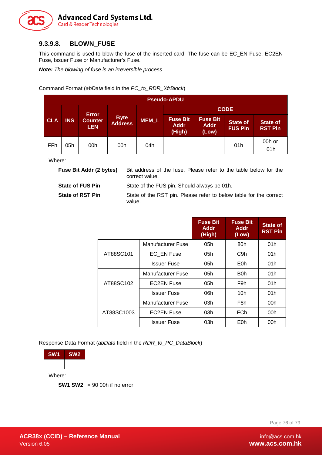

### **9.3.9.8. BLOWN\_FUSE**

This command is used to blow the fuse of the inserted card. The fuse can be EC\_EN Fuse, EC2EN Fuse, Issuer Fuse or Manufacturer's Fuse.

*Note: The blowing of fuse is an irreversible process.*

Command Format (*abData* field in the *PC\_to\_RDR\_XfrBlock*)

|            | <b>Pseudo-APDU</b> |                              |                        |              |                                          |                                         |                                   |                                   |  |  |  |  |
|------------|--------------------|------------------------------|------------------------|--------------|------------------------------------------|-----------------------------------------|-----------------------------------|-----------------------------------|--|--|--|--|
|            |                    | <b>Error</b>                 |                        | <b>CODE</b>  |                                          |                                         |                                   |                                   |  |  |  |  |
| <b>CLA</b> | <b>INS</b>         | <b>Counter</b><br><b>LEN</b> | <b>Byte</b><br>Address | <b>MEM L</b> | <b>Fuse Bit</b><br><b>Addr</b><br>(High) | <b>Fuse Bit</b><br><b>Addr</b><br>(Low) | <b>State of</b><br><b>FUS Pin</b> | <b>State of</b><br><b>RST Pin</b> |  |  |  |  |
| FFh        | 05h                | 00h                          | 00h                    | 04h          |                                          |                                         | 01h                               | 00h or<br>01h                     |  |  |  |  |

Where:

| <b>Fuse Bit Addr (2 bytes)</b> | Bit address of the fuse. Please refer to the table below for the<br>correct value. |
|--------------------------------|------------------------------------------------------------------------------------|
| <b>State of FUS Pin</b>        | State of the FUS pin. Should always be 01h.                                        |
| <b>State of RST Pin</b>        | State of the RST pin. Please refer to below table for the correct<br>value.        |

|            |                    | <b>Fuse Bit</b><br><b>Addr</b><br>(High) | <b>Fuse Bit</b><br><b>Addr</b><br>(Low) | <b>State of</b><br><b>RST Pin</b> |
|------------|--------------------|------------------------------------------|-----------------------------------------|-----------------------------------|
|            | Manufacturer Fuse  | 05h                                      | 80h                                     | 01h                               |
| AT88SC101  | <b>EC EN Fuse</b>  | 05h                                      | C <sub>9</sub> h                        | 01h                               |
|            | <b>Issuer Fuse</b> | 05h                                      | E0h                                     | 01h                               |
|            | Manufacturer Fuse  | 05h                                      | B <sub>0</sub> h                        | 01h                               |
| AT88SC102  | <b>EC2EN Fuse</b>  | 05h                                      | F9h                                     | 01h                               |
|            | <b>Issuer Fuse</b> | 06h                                      | 10h                                     | 01h                               |
|            | Manufacturer Fuse  | 03h                                      | F <sub>8</sub> h                        | 00h                               |
| AT88SC1003 | <b>EC2EN Fuse</b>  | 03h                                      | <b>FCh</b>                              | 00h                               |
|            | <b>Issuer Fuse</b> | 03h                                      | E0h                                     | 00h                               |

Response Data Format (*abData* field in the *RDR\_to\_PC\_DataBlock*)

| <b>SW1</b> | SW <sub>2</sub> |
|------------|-----------------|
|            |                 |

Where:

**SW1 SW2** = 90 00h if no error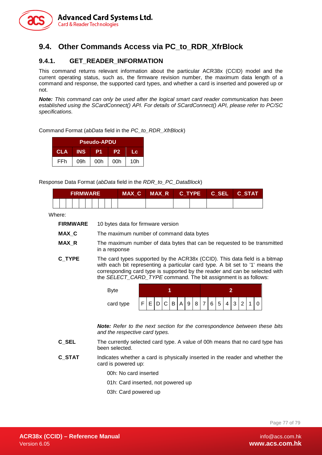

## **9.4. Other Commands Access via PC\_to\_RDR\_XfrBlock**

#### **9.4.1. GET\_READER\_INFORMATION**

This command returns relevant information about the particular ACR38x (CCID) model and the current operating status, such as, the firmware revision number, the maximum data length of a command and response, the supported card types, and whether a card is inserted and powered up or not.

*Note: This command can only be used after the logical smart card reader communication has been established using the SCardConnect() API. For details of SCardConnect() API, please refer to PC/SC specifications.*

#### Command Format (*abData* field in the *PC\_to\_RDR\_XfrBlock*)

| <b>Pseudo-APDU</b> |            |     |                |     |  |  |  |  |  |  |
|--------------------|------------|-----|----------------|-----|--|--|--|--|--|--|
| <b>CLA</b>         | <b>INS</b> | P1  | P <sub>2</sub> | Lс  |  |  |  |  |  |  |
| FFh                | 09h        | 00h | 00h            | 10h |  |  |  |  |  |  |

#### Response Data Format (*abData* field in the *RDR\_to\_PC\_DataBlock*)

| <b>FIRMWARE</b> |  |  |  |  |  | MAX C | MAX R C TYPE C SEL C STAT |  |  |  |  |
|-----------------|--|--|--|--|--|-------|---------------------------|--|--|--|--|
|                 |  |  |  |  |  |       |                           |  |  |  |  |

Where:

| FIRMWARE | 10 bytes data for firmware version |
|----------|------------------------------------|
|----------|------------------------------------|

- **MAX\_C** The maximum number of command data bytes
- **MAX\_R** The maximum number of data bytes that can be requested to be transmitted in a response
- **C\_TYPE** The card types supported by the ACR38x (CCID). This data field is a bitmap with each bit representing a particular card type. A bit set to '1' means the corresponding card type is supported by the reader and can be selected with the *SELECT\_CARD\_TYPE* command. The bit assignment is as follows:

| card type |  |  |  |  |  |  |  |  |  |  |  |  |  |  |  |  |
|-----------|--|--|--|--|--|--|--|--|--|--|--|--|--|--|--|--|

*Note: Refer to the next section for the correspondence between these bits and the respective card types.*

- **C\_SEL** The currently selected card type. A value of 00h means that no card type has been selected.
- **C\_STAT** Indicates whether a card is physically inserted in the reader and whether the card is powered up:
	- 00h: No card inserted
	- 01h: Card inserted, not powered up
	- 03h: Card powered up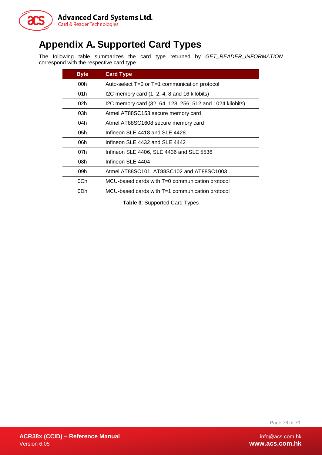

## **Appendix A. Supported Card Types**

The following table summarizes the card type returned by *GET\_READER\_INFORMATION* correspond with the respective card type.

| <b>Byte</b> | <b>Card Type</b>                                          |
|-------------|-----------------------------------------------------------|
| 00h         | Auto-select $T=0$ or $T=1$ communication protocol         |
| 01h         | I2C memory card (1, 2, 4, 8 and 16 kilobits)              |
| 02h         | I2C memory card (32, 64, 128, 256, 512 and 1024 kilobits) |
| 03h         | Atmel AT88SC153 secure memory card                        |
| 04h         | Atmel AT88SC1608 secure memory card                       |
| 05h         | Infineon SLE 4418 and SLE 4428                            |
| 06h         | Infineon SLE 4432 and SLE 4442                            |
| 07h         | Infineon SLE 4406, SLE 4436 and SLE 5536                  |
| 08h         | Infineon SLE 4404                                         |
| 09h         | Atmel AT88SC101, AT88SC102 and AT88SC1003                 |
| 0Ch         | MCU-based cards with T=0 communication protocol           |
| 0Dh         | MCU-based cards with T=1 communication protocol           |

**Table 3**: Supported Card Types

Page 78 of 79